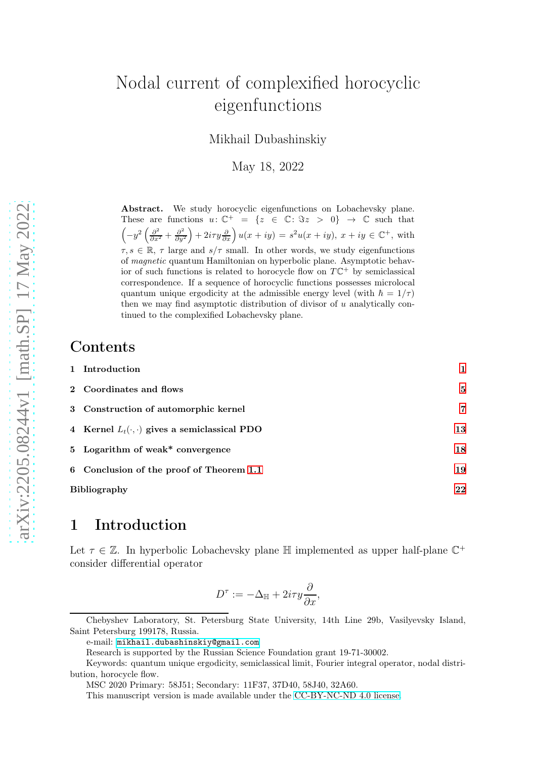# Nodal current of complexified horocyclic eigenfunctions

Mikhail Dubashinskiy

May 18, 2022

Abstract. We study horocyclic eigenfunctions on Lobachevsky plane. These are functions  $u: \mathbb{C}^+ = \{z \in \mathbb{C}: \Im z > 0\} \rightarrow \mathbb{C}$  such that  $\left(-y^2\left(\frac{\partial^2}{\partial x^2}+\frac{\partial^2}{\partial y^2}\right)\right)$  $\left(\frac{\partial^2}{\partial y^2}\right) + 2i\tau y \frac{\partial}{\partial x}\right) u(x+iy) = s^2 u(x+iy), x+iy \in \mathbb{C}^+,$  with  $\tau, s \in \mathbb{R}, \tau$  large and  $s/\tau$  small. In other words, we study eigenfunctions of magnetic quantum Hamiltonian on hyperbolic plane. Asymptotic behavior of such functions is related to horocycle flow on  $T\mathbb{C}^+$  by semiclassical correspondence. If a sequence of horocyclic functions possesses microlocal quantum unique ergodicity at the admissible energy level (with  $\hbar = 1/\tau$ ) then we may find asymptotic distribution of divisor of  $u$  analytically continued to the complexified Lobachevsky plane.

#### Contents

|                     | 1 Introduction                                         |    |
|---------------------|--------------------------------------------------------|----|
|                     | 2 Coordinates and flows                                | 5  |
|                     | 3 Construction of automorphic kernel                   | 7  |
|                     | 4 Kernel $L_t(\cdot, \cdot)$ gives a semiclassical PDO | 13 |
|                     | 5 Logarithm of weak* convergence                       | 18 |
|                     | 6 Conclusion of the proof of Theorem 1.1               | 19 |
| <b>Bibliography</b> |                                                        | 22 |

#### <span id="page-0-0"></span>1 Introduction

Let  $\tau \in \mathbb{Z}$ . In hyperbolic Lobachevsky plane  $\mathbb{H}$  implemented as upper half-plane  $\mathbb{C}^+$ consider differential operator

$$
D^{\tau} := -\Delta_{\mathbb{H}} + 2i\tau y \frac{\partial}{\partial x},
$$

Chebyshev Laboratory, St. Petersburg State University, 14th Line 29b, Vasilyevsky Island, Saint Petersburg 199178, Russia.

e-mail: [mikhail.dubashinskiy@gmail.com](mailto://mikhail.dubashinskiy@gmail.com)

Research is supported by the Russian Science Foundation grant 19-71-30002.

Keywords: quantum unique ergodicity, semiclassical limit, Fourier integral operator, nodal distribution, horocycle flow.

MSC 2020 Primary: 58J51; Secondary: 11F37, 37D40, 58J40, 32A60.

This manuscript version is made available under the [CC-BY-NC-ND 4.0 license.](http://creativecommons.org/licenses/bync-nd/4.0/)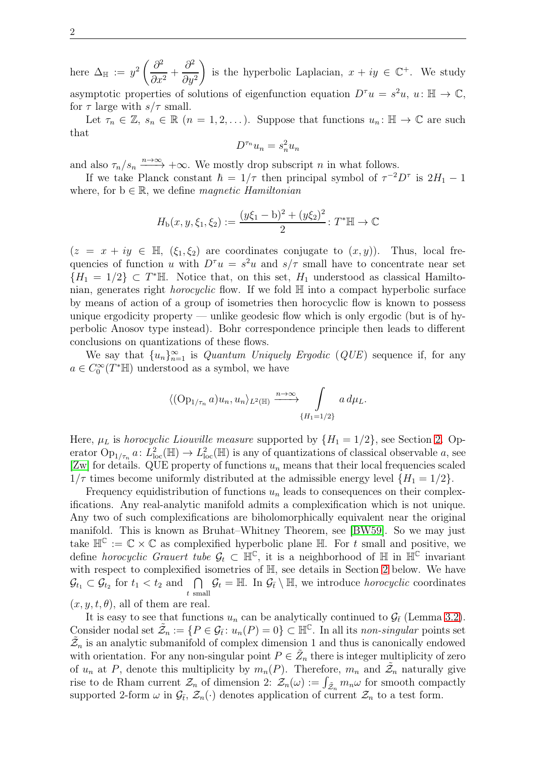here  $\Delta_{\mathbb{H}} := y^2 \left( \frac{\partial^2}{\partial x^2} \right)$  $\frac{6}{\partial x^2}$  +  $\partial^2$  $\partial y^2$ is the hyperbolic Laplacian,  $x + iy \in \mathbb{C}^+$ . We study asymptotic properties of solutions of eigenfunction equation  $D^{\tau}u = s^2u$ ,  $u: \mathbb{H} \to \mathbb{C}$ , for  $\tau$  large with  $s/\tau$  small.

Let  $\tau_n \in \mathbb{Z}, s_n \in \mathbb{R}$   $(n = 1, 2, \ldots)$ . Suppose that functions  $u_n : \mathbb{H} \to \mathbb{C}$  are such that

$$
D^{\tau_n}u_n = s_n^2 u_n
$$

and also  $\tau_n/s_n \xrightarrow{n \to \infty} +\infty$ . We mostly drop subscript n in what follows.

If we take Planck constant  $\hbar = 1/\tau$  then principal symbol of  $\tau^{-2}D^{\tau}$  is  $2H_1 - 1$ where, for  $b \in \mathbb{R}$ , we define *magnetic Hamiltonian* 

$$
H_{\mathrm{b}}(x, y, \xi_1, \xi_2) := \frac{(y\xi_1 - \mathrm{b})^2 + (y\xi_2)^2}{2} \colon T^* \mathbb{H} \to \mathbb{C}
$$

 $(z = x + iy \in \mathbb{H}, (\xi_1, \xi_2)$  are coordinates conjugate to  $(x, y)$ ). Thus, local frequencies of function u with  $D^{\tau}u = s^2u$  and  $s/\tau$  small have to concentrate near set  ${H_1 = 1/2} \subset T^*$ H. Notice that, on this set,  $H_1$  understood as classical Hamiltonian, generates right *horocyclic* flow. If we fold  $\mathbb{H}$  into a compact hyperbolic surface by means of action of a group of isometries then horocyclic flow is known to possess unique ergodicity property — unlike geodesic flow which is only ergodic (but is of hyperbolic Anosov type instead). Bohr correspondence principle then leads to different conclusions on quantizations of these flows.

We say that  ${u_n}_{n=1}^{\infty}$  is *Quantum Uniquely Ergodic* (*QUE*) sequence if, for any  $a \in C_0^{\infty}(T^*\mathbb{H})$  understood as a symbol, we have

$$
\langle \left(\mathrm{Op}_{1/\tau_n} a\right) u_n, u_n \rangle_{L^2(\mathbb{H})} \xrightarrow{n \to \infty} \int \limits_{\{H_1 = 1/2\}} a \, d\mu_L.
$$

Here,  $\mu_L$  is horocyclic Liouville measure supported by  $\{H_1 = 1/2\}$ , see Section [2.](#page-4-0) Operator  $\text{Op}_{1/\tau_n}$   $a\colon L^2_{\text{loc}}(\mathbb{H}) \to L^2_{\text{loc}}(\mathbb{H})$  is any of quantizations of classical observable  $a$ , see [\[Zw\]](#page-22-0) for details. QUE property of functions  $u_n$  means that their local frequencies scaled  $1/\tau$  times become uniformly distributed at the admissible energy level  $\{H_1 = 1/2\}$ .

Frequency equidistribution of functions  $u_n$  leads to consequences on their complexifications. Any real-analytic manifold admits a complexification which is not unique. Any two of such complexifications are biholomorphically equivalent near the original manifold. This is known as Bruhat–Whitney Theorem, see [\[BW59\]](#page-21-1). So we may just take  $\mathbb{H}^{\mathbb{C}} := \mathbb{C} \times \mathbb{C}$  as complexified hyperbolic plane  $\mathbb{H}$ . For t small and positive, we define *horocyclic Grauert tube*  $\mathcal{G}_t \subset \mathbb{H}^{\mathbb{C}}$ , it is a neighborhood of  $\mathbb{H}$  in  $\mathbb{H}^{\mathbb{C}}$  invariant with respect to complexified isometries of  $\mathbb{H}$ , see details in Section [2](#page-4-0) below. We have  $\mathcal{G}_{t_1} \subset \mathcal{G}_{t_2}$  for  $t_1 < t_2$  and  $\bigcap$  $\bigcap_{t \text{ small}} \mathcal{G}_t = \mathbb{H}$ . In  $\mathcal{G}_{\bar{t}} \setminus \mathbb{H}$ , we introduce *horocyclic* coordinates  $(x, y, t, \theta)$ , all of them are real.

It is easy to see that functions  $u_n$  can be analytically continued to  $\mathcal{G}_{\bar{t}}$  (Lemma [3.2\)](#page-8-0). Consider nodal set  $\tilde{\mathcal{Z}}_n := \{P \in \mathcal{G}_{\bar{t}} : u_n(P) = 0\} \subset \mathbb{H}^{\mathbb{C}}$ . In all its non-singular points set  $\tilde{\mathcal{Z}}_n$  is an analytic submanifold of complex dimension 1 and thus is canonically endowed with orientation. For any non-singular point  $P \in \tilde{Z}_n$  there is integer multiplicity of zero of  $u_n$  at P, denote this multiplicity by  $m_n(P)$ . Therefore,  $m_n$  and  $\tilde{\mathcal{Z}}_n$  naturally give rise to de Rham current  $\mathcal{Z}_n$  of dimension 2:  $\mathcal{Z}_n(\omega) := \int_{\tilde{\mathcal{Z}}_n} m_n \omega$  for smooth compactly supported 2-form  $\omega$  in  $\mathcal{G}_{\bar{t}}, \mathcal{Z}_n(\cdot)$  denotes application of current  $\mathcal{Z}_n$  to a test form.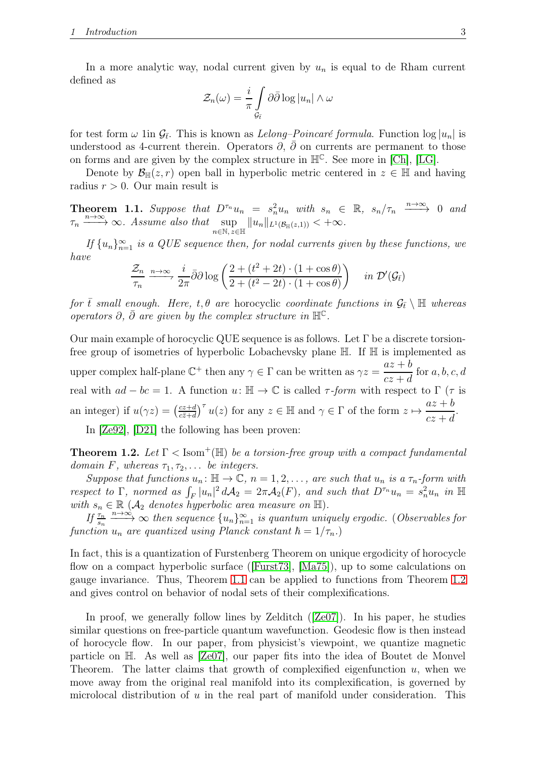In a more analytic way, nodal current given by  $u_n$  is equal to de Rham current defined as

$$
\mathcal{Z}_n(\omega) = \frac{i}{\pi} \int\limits_{\mathcal{G}_{\bar{t}}} \partial \bar{\partial} \log |u_n| \wedge \omega
$$

for test form  $\omega$  1in  $\mathcal{G}_{\bar{t}}$ . This is known as *Lelong–Poincaré formula*. Function  $\log |u_n|$  is understood as 4-current therein. Operators  $\partial$ ,  $\bar{\partial}$  on currents are permanent to those on forms and are given by the complex structure in  $\mathbb{H}^{\mathbb{C}}$ . See more in [\[Ch\]](#page-21-2), [\[LG\]](#page-21-3).

Denote by  $\mathcal{B}_{\mathbb{H}}(z,r)$  open ball in hyperbolic metric centered in  $z \in \mathbb{H}$  and having radius  $r > 0$ . Our main result is

<span id="page-2-0"></span>**Theorem 1.1.** Suppose that  $D^{\tau_n}u_n = s_n^2u_n$  with  $s_n \in \mathbb{R}$ ,  $s_n/\tau_n \xrightarrow{n \to \infty} 0$  and  $\tau_n \xrightarrow{n \to \infty} \infty$ . Assume also that  $\sup_{n \in \mathbb{N}, z \in \mathbb{H}} ||u_n||_{L^1(\mathcal{B}_{\mathbb{H}}(z,1))} < +\infty$ .

If  $\{u_n\}_{n=1}^{\infty}$  is a QUE sequence then, for nodal currents given by these functions, we have

$$
\frac{\mathcal{Z}_n}{\tau_n} \xrightarrow{n \to \infty} \frac{i}{2\pi} \bar{\partial} \partial \log \left( \frac{2 + (t^2 + 2t) \cdot (1 + \cos \theta)}{2 + (t^2 - 2t) \cdot (1 + \cos \theta)} \right) \quad in \ \mathcal{D}'(\mathcal{G}_{\bar{t}})
$$

for  $\bar{t}$  small enough. Here,  $t, \theta$  are horocyclic coordinate functions in  $\mathcal{G}_{\bar{t}} \setminus \mathbb{H}$  whereas operators  $\partial$ ,  $\bar{\partial}$  are given by the complex structure in  $\mathbb{H}^{\mathbb{C}}$ .

Our main example of horocyclic QUE sequence is as follows. Let  $\Gamma$  be a discrete torsionfree group of isometries of hyperbolic Lobachevsky plane H. If H is implemented as upper complex half-plane  $\mathbb{C}^+$  then any  $\gamma \in \Gamma$  can be written as  $\gamma z = \frac{az+b}{cz+d}$  $cz + d$ for  $a, b, c, d$ real with  $ad - bc = 1$ . A function  $u: \mathbb{H} \to \mathbb{C}$  is called  $\tau$ -form with respect to  $\Gamma$  ( $\tau$  is an integer) if  $u(\gamma z) = \left(\frac{cz+d}{c\overline{z}+d}\right)$  $\frac{cz+d}{cz+d}$ <sup>T</sup>  $u(z)$  for any  $z \in \mathbb{H}$  and  $\gamma \in \Gamma$  of the form  $z \mapsto \frac{az+b}{cz+d}$  $cz + d$ .

In [\[Ze92\]](#page-22-1), [\[D21\]](#page-21-4) the following has been proven:

<span id="page-2-1"></span>**Theorem 1.2.** Let  $\Gamma$  < Isom<sup>+</sup>(H) be a torsion-free group with a compact fundamental domain F, whereas  $\tau_1, \tau_2, \ldots$  be integers.

Suppose that functions  $u_n: \mathbb{H} \to \mathbb{C}$ ,  $n = 1, 2, \ldots$ , are such that  $u_n$  is a  $\tau_n$ -form with respect to  $\Gamma$ , normed as  $\int_F |u_n|^2 dA_2 = 2\pi A_2(F)$ , and such that  $D^{\tau_n}u_n = s_n^2 u_n$  in  $\mathbb{H}$ with  $s_n \in \mathbb{R}$  ( $\mathcal{A}_2$  denotes hyperbolic area measure on  $\mathbb{H}$ ).

If  $\frac{\tau_n}{s_n} \xrightarrow{n \to \infty} \infty$  then sequence  $\{u_n\}_{n=1}^{\infty}$  is quantum uniquely ergodic. (Observables for function  $u_n$  are quantized using Planck constant  $\hbar = 1/\tau_n$ .)

In fact, this is a quantization of Furstenberg Theorem on unique ergodicity of horocycle flow on a compact hyperbolic surface ([\[Furst73\]](#page-21-5), [\[Ma75\]](#page-21-6)), up to some calculations on gauge invariance. Thus, Theorem [1.1](#page-2-0) can be applied to functions from Theorem [1.2](#page-2-1) and gives control on behavior of nodal sets of their complexifications.

In proof, we generally follow lines by Zelditch  $([Ze07])$  $([Ze07])$  $([Ze07])$ . In his paper, he studies similar questions on free-particle quantum wavefunction. Geodesic flow is then instead of horocycle flow. In our paper, from physicist's viewpoint, we quantize magnetic particle on H. As well as [\[Ze07\]](#page-22-2), our paper fits into the idea of Boutet de Monvel Theorem. The latter claims that growth of complexified eigenfunction  $u$ , when we move away from the original real manifold into its complexification, is governed by microlocal distribution of  $u$  in the real part of manifold under consideration. This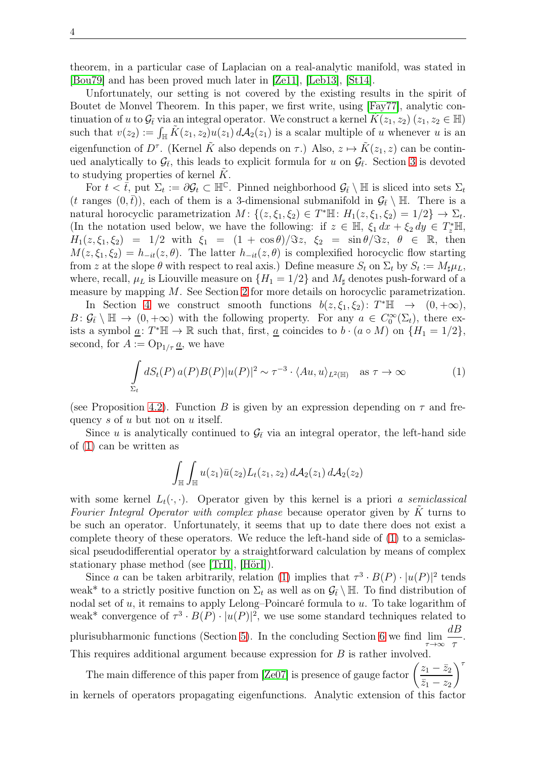theorem, in a particular case of Laplacian on a real-analytic manifold, was stated in [\[Bou79\]](#page-21-7) and has been proved much later in [\[Ze11\]](#page-22-3), [\[Leb13\]](#page-21-8), [\[St14\]](#page-22-4).

Unfortunately, our setting is not covered by the existing results in the spirit of Boutet de Monvel Theorem. In this paper, we first write, using [\[Fay77\]](#page-21-9), analytic continuation of u to  $\mathcal{G}_t$  via an integral operator. We construct a kernel  $K(z_1, z_2)$   $(z_1, z_2 \in \mathbb{H})$ such that  $v(z_2) := \int_{\mathbb{H}} \tilde{K}(z_1, z_2)u(z_1) dA_2(z_1)$  is a scalar multiple of u whenever u is an eigenfunction of  $D^{\tau}$ . (Kernel  $\tilde{K}$  also depends on  $\tau$ .) Also,  $z \mapsto \tilde{K}(z_1, z)$  can be continued analytically to  $\mathcal{G}_{\bar{t}}$ , this leads to explicit formula for u on  $\mathcal{G}_{\bar{t}}$ . Section [3](#page-6-0) is devoted to studying properties of kernel  $K$ .

For  $t < \bar{t}$ , put  $\Sigma_t := \partial \mathcal{G}_t \subset \mathbb{H}^{\mathbb{C}}$ . Pinned neighborhood  $\mathcal{G}_{\bar{t}} \setminus \mathbb{H}$  is sliced into sets  $\Sigma_t$ (t ranges  $(0, \bar{t})$ ), each of them is a 3-dimensional submanifold in  $\mathcal{G}_{\bar{t}} \setminus \mathbb{H}$ . There is a natural horocyclic parametrization  $M: \{(z,\xi_1,\xi_2) \in T^* \mathbb{H}: H_1(z,\xi_1,\xi_2) = 1/2\} \to \Sigma_t$ . (In the notation used below, we have the following: if  $z \in \mathbb{H}$ ,  $\xi_1 dx + \xi_2 dy \in T_z^* \mathbb{H}$ ,  $H_1(z,\xi_1,\xi_2) = 1/2$  with  $\xi_1 = (1 + \cos\theta)/\Im z$ ,  $\xi_2 = \sin\theta/\Im z$ ,  $\theta \in \mathbb{R}$ , then  $M(z, \xi_1, \xi_2) = h_{-it}(z, \theta)$ . The latter  $h_{-it}(z, \theta)$  is complexified horocyclic flow starting from z at the slope  $\theta$  with respect to real axis.) Define measure  $S_t$  on  $\Sigma_t$  by  $S_t := M_\sharp \mu_L$ , where, recall,  $\mu_L$  is Liouville measure on  $\{H_1 = 1/2\}$  and  $M_\sharp$  denotes push-forward of a measure by mapping M. See Section [2](#page-4-0) for more details on horocyclic parametrization.

In Section [4](#page-12-0) we construct smooth functions  $b(z,\xi_1,\xi_2)$ :  $T^* \mathbb{H} \rightarrow (0,+\infty)$ ,  $B: \mathcal{G}_{\bar{t}} \setminus \mathbb{H} \to (0, +\infty)$  with the following property. For any  $a \in C_0^{\infty}(\Sigma_t)$ , there exists a symbol  $\underline{a}$ :  $T^* \mathbb{H} \to \mathbb{R}$  such that, first,  $\underline{a}$  coincides to  $b \cdot (a \circ M)$  on  $\{H_1 = 1/2\}$ , second, for  $A := \text{Op}_{1/\tau} \underline{a}$ , we have

<span id="page-3-0"></span>
$$
\int_{\Sigma_t} dS_t(P) a(P) B(P) |u(P)|^2 \sim \tau^{-3} \cdot \langle Au, u \rangle_{L^2(\mathbb{H})} \quad \text{as } \tau \to \infty
$$
 (1)

(see Proposition [4.2\)](#page-13-0). Function B is given by an expression depending on  $\tau$  and frequency s of u but not on u itself.

Since u is analytically continued to  $\mathcal{G}_{\bar{t}}$  via an integral operator, the left-hand side of [\(1\)](#page-3-0) can be written as

$$
\int_{\mathbb{H}} \int_{\mathbb{H}} u(z_1)\bar{u}(z_2) L_t(z_1, z_2) d\mathcal{A}_2(z_1) d\mathcal{A}_2(z_2)
$$

with some kernel  $L_t(\cdot, \cdot)$ . Operator given by this kernel is a priori a semiclassical Fourier Integral Operator with complex phase because operator given by  $\tilde{K}$  turns to be such an operator. Unfortunately, it seems that up to date there does not exist a complete theory of these operators. We reduce the left-hand side of [\(1\)](#page-3-0) to a semiclassical pseudodifferential operator by a straightforward calculation by means of complex stationary phase method (see [\[TrII\]](#page-22-5), [\[HörI\]](#page-21-10)).

Since a can be taken arbitrarily, relation [\(1\)](#page-3-0) implies that  $\tau^3 \cdot B(P) \cdot |u(P)|^2$  tends weak<sup>\*</sup> to a strictly positive function on  $\Sigma_t$  as well as on  $\mathcal{G}_t \setminus \mathbb{H}$ . To find distribution of nodal set of u, it remains to apply Lelong–Poincaré formula to u. To take logarithm of weak\* convergence of  $\tau^3 \cdot B(P) \cdot |u(P)|^2$ , we use some standard techniques related to plurisubharmonic functions (Section [5\)](#page-17-0). In the concluding Section [6](#page-18-0) we find  $\lim_{\tau \to \infty}$ dB τ . This requires additional argument because expression for B is rather involved.

The main difference of this paper from [\[Ze07\]](#page-22-2) is presence of gauge factor  $\left(\frac{z_1 - \bar{z}_2}{1}\right)$  $\overline{z}_1 - z_2$  $\sum$ <sup> $\tau$ </sup> in kernels of operators propagating eigenfunctions. Analytic extension of this factor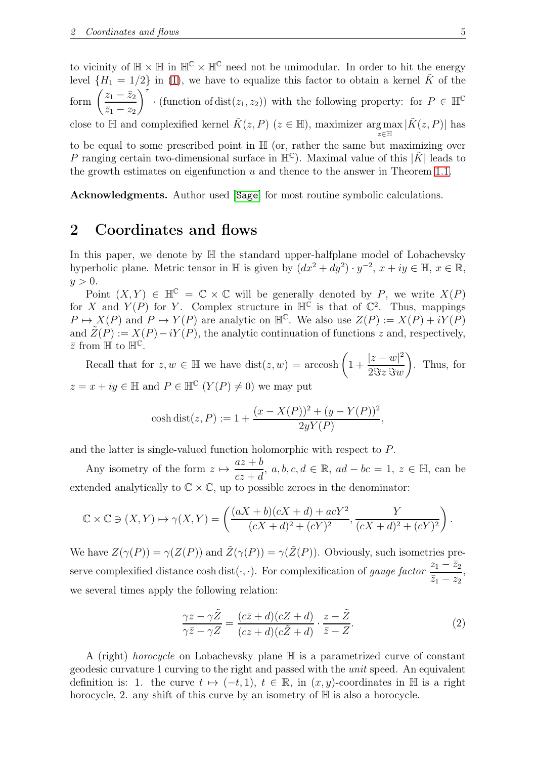to vicinity of  $\mathbb{H} \times \mathbb{H}$  in  $\mathbb{H}^{\mathbb{C}} \times \mathbb{H}^{\mathbb{C}}$  need not be unimodular. In order to hit the energy level  ${H_1 = 1/2}$  in [\(1\)](#page-3-0), we have to equalize this factor to obtain a kernel  $\tilde{K}$  of the form  $\left(\frac{z_1 - \bar{z}_2}{\cdots}\right)$  $\bar{z}_1 - z_2$  $\sum$ <sup> $\tau$ </sup> · (function of dist( $z_1, z_2$ )) with the following property: for  $P \in \mathbb{H}^{\mathbb{C}}$ close to  $\mathbb H$  and complexified kernel  $\tilde{K}(z, P)$   $(z \in \mathbb H)$ , maximizer  $\argmax_{z \in \mathbb H} |\tilde{K}(z, P)|$  has

to be equal to some prescribed point in  $\mathbb{H}$  (or, rather the same but maximizing over P ranging certain two-dimensional surface in  $\mathbb{H}^{\mathbb{C}}$ ). Maximal value of this  $|\tilde{K}|$  leads to the growth estimates on eigenfunction  $u$  and thence to the answer in Theorem [1.1.](#page-2-0)

Acknowledgments. Author used [[Sage](#page-21-11)] for most routine symbolic calculations.

#### <span id="page-4-0"></span>2 Coordinates and flows

In this paper, we denote by  $\mathbb H$  the standard upper-halfplane model of Lobachevsky hyperbolic plane. Metric tensor in  $\mathbb H$  is given by  $(dx^2 + dy^2) \cdot y^{-2}$ ,  $x + iy \in \mathbb H$ ,  $x \in \mathbb R$ ,  $y > 0$ .

Point  $(X, Y) \in \mathbb{H}^{\mathbb{C}} = \mathbb{C} \times \mathbb{C}$  will be generally denoted by P, we write  $X(P)$ for X and  $Y(P)$  for Y. Complex structure in  $\mathbb{H}^{\mathbb{C}}$  is that of  $\mathbb{C}^2$ . Thus, mappings  $P \mapsto X(P)$  and  $P \mapsto Y(P)$  are analytic on  $\mathbb{H}^{\mathbb{C}}$ . We also use  $Z(P) := X(P) + iY(P)$ and  $\tilde{Z}(P) := X(P) - iY(P)$ , the analytic continuation of functions z and, respectively,  $\bar{z}$  from  $\mathbb{H}$  to  $\mathbb{H}^{\mathbb{C}}$ .

Recall that for  $z, w \in \mathbb{H}$  we have  $dist(z, w) = \arccosh\left(1 + \frac{|z-w|^2}{2\Im z \Im w}\right)$  $2\Im z \Im w$  $\setminus$ . Thus, for  $z = x + iy \in \mathbb{H}$  and  $P \in \mathbb{H}^{\mathbb{C}}$   $(Y(P) \neq 0)$  we may put

$$
\cosh \text{dist}(z, P) := 1 + \frac{(x - X(P))^2 + (y - Y(P))^2}{2yY(P)},
$$

and the latter is single-valued function holomorphic with respect to P.

Any isometry of the form  $z \mapsto$  $az + b$  $\frac{az + b}{cz + d}$ ,  $a, b, c, d \in \mathbb{R}$ ,  $ad - bc = 1$ ,  $z \in \mathbb{H}$ , can be extended analytically to  $\mathbb{C} \times \mathbb{C}$ , up to possible zeroes in the denominator:

$$
\mathbb{C} \times \mathbb{C} \ni (X, Y) \mapsto \gamma(X, Y) = \left( \frac{(aX + b)(cX + d) + acY^2}{(cX + d)^2 + (cY)^2}, \frac{Y}{(cX + d)^2 + (cY)^2} \right).
$$

We have  $Z(\gamma(P)) = \gamma(Z(P))$  and  $\tilde{Z}(\gamma(P)) = \gamma(\tilde{Z}(P))$ . Obviously, such isometries preserve complexified distance cosh dist( $\cdot, \cdot$ ). For complexification of gauge factor  $\frac{z_1 - \bar{z}_2}{\bar{z}_1 - z_2}$  $\bar{z}_1 - z_2$ , we several times apply the following relation:

<span id="page-4-1"></span>
$$
\frac{\gamma z - \gamma \tilde{Z}}{\gamma \bar{z} - \gamma Z} = \frac{(c\bar{z} + d)(cZ + d)}{(cz + d)(c\tilde{Z} + d)} \cdot \frac{z - \tilde{Z}}{\bar{z} - Z}.
$$
\n(2)

A (right) horocycle on Lobachevsky plane H is a parametrized curve of constant geodesic curvature 1 curving to the right and passed with the unit speed. An equivalent definition is: 1. the curve  $t \mapsto (-t, 1), t \in \mathbb{R}$ , in  $(x, y)$ -coordinates in H is a right horocycle, 2. any shift of this curve by an isometry of  $\mathbb H$  is also a horocycle.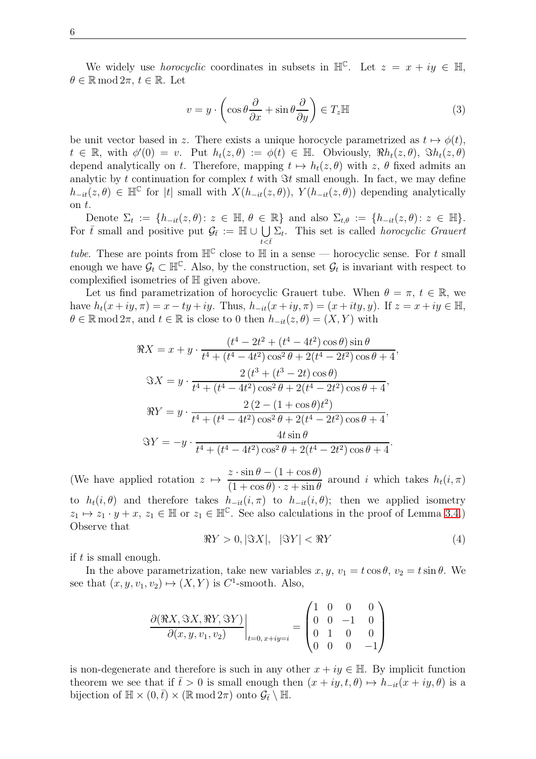We widely use *horocyclic* coordinates in subsets in  $\mathbb{H}^{\mathbb{C}}$ . Let  $z = x + iy \in \mathbb{H}$ ,  $\theta \in \mathbb{R} \mod 2\pi$ ,  $t \in \mathbb{R}$ . Let

<span id="page-5-0"></span>
$$
v = y \cdot \left(\cos\theta \frac{\partial}{\partial x} + \sin\theta \frac{\partial}{\partial y}\right) \in T_z \mathbb{H}
$$
 (3)

be unit vector based in z. There exists a unique horocycle parametrized as  $t \mapsto \phi(t)$ ,  $t \in \mathbb{R}$ , with  $\phi'(0) = v$ . Put  $h_t(z, \theta) := \phi(t) \in \mathbb{H}$ . Obviously,  $\Re h_t(z, \theta)$ ,  $\Im h_t(z, \theta)$ depend analytically on t. Therefore, mapping  $t \mapsto h_t(z, \theta)$  with z,  $\theta$  fixed admits an analytic by t continuation for complex t with  $\Im t$  small enough. In fact, we may define  $h_{-it}(z,\theta) \in \mathbb{H}^{\mathbb{C}}$  for |t| small with  $X(h_{-it}(z,\theta)), Y(h_{-it}(z,\theta))$  depending analytically on t.

Denote  $\Sigma_t := \{h_{-it}(z,\theta) : z \in \mathbb{H}, \theta \in \mathbb{R}\}\$ and also  $\Sigma_{t,\theta} := \{h_{-it}(z,\theta) : z \in \mathbb{H}\}.$ For  $\bar{t}$  small and positive put  $\mathcal{G}_{\bar{t}} := \mathbb{H} \cup \bigcup_{\bar{t}} \Sigma_t$ . This set is called *horocyclic Grauert*  $t\overline{<}\overline{t}$ 

tube. These are points from  $\mathbb{H}^{\mathbb{C}}$  close to  $\mathbb{H}$  in a sense — horocyclic sense. For t small enough we have  $\mathcal{G}_t \subset \mathbb{H}^{\mathbb{C}}$ . Also, by the construction, set  $\mathcal{G}_t$  is invariant with respect to complexified isometries of H given above.

Let us find parametrization of horocyclic Grauert tube. When  $\theta = \pi$ ,  $t \in \mathbb{R}$ , we have  $h_t(x+iy, \pi) = x - ty + iy$ . Thus,  $h_{-it}(x+iy, \pi) = (x + ity, y)$ . If  $z = x + iy \in \mathbb{H}$ ,  $\theta \in \mathbb{R} \mod 2\pi$ , and  $t \in \mathbb{R}$  is close to 0 then  $h_{-it}(z, \theta) = (X, Y)$  with

$$
\Re X = x + y \cdot \frac{(t^4 - 2t^2 + (t^4 - 4t^2)\cos\theta)\sin\theta}{t^4 + (t^4 - 4t^2)\cos^2\theta + 2(t^4 - 2t^2)\cos\theta + 4},
$$
  

$$
\Im X = y \cdot \frac{2(t^3 + (t^3 - 2t)\cos\theta)}{t^4 + (t^4 - 4t^2)\cos^2\theta + 2(t^4 - 2t^2)\cos\theta + 4},
$$
  

$$
\Re Y = y \cdot \frac{2(2 - (1 + \cos\theta)t^2)}{t^4 + (t^4 - 4t^2)\cos^2\theta + 2(t^4 - 2t^2)\cos\theta + 4},
$$
  

$$
\Im Y = -y \cdot \frac{4t\sin\theta}{t^4 + (t^4 - 4t^2)\cos^2\theta + 2(t^4 - 2t^2)\cos\theta + 4}.
$$

(We have applied rotation  $z \mapsto$  $z \cdot \sin \theta - (1 + \cos \theta)$  $(1 + \cos \theta) \cdot z + \sin \theta$ around i which takes  $h_t(i, \pi)$ to  $h_t(i, \theta)$  and therefore takes  $h_{-it}(i, \pi)$  to  $h_{-it}(i, \theta)$ ; then we applied isometry  $z_1 \mapsto z_1 \cdot y + x, z_1 \in \mathbb{H}$  or  $z_1 \in \mathbb{H}^{\mathbb{C}}$ . See also calculations in the proof of Lemma [3.4.](#page-10-0)) Observe that

<span id="page-5-1"></span>
$$
\Re Y > 0, |\Im X|, \quad |\Im Y| < \Re Y \tag{4}
$$

if  $t$  is small enough.

In the above parametrization, take new variables  $x, y, v_1 = t \cos \theta, v_2 = t \sin \theta$ . We see that  $(x, y, v_1, v_2) \mapsto (X, Y)$  is  $C^1$ -smooth. Also,

$$
\frac{\partial(\Re X, \Im X, \Re Y, \Im Y)}{\partial(x, y, v_1, v_2)}\Big|_{t=0, x+iy=i} = \begin{pmatrix} 1 & 0 & 0 & 0 \\ 0 & 0 & -1 & 0 \\ 0 & 1 & 0 & 0 \\ 0 & 0 & 0 & -1 \end{pmatrix}
$$

is non-degenerate and therefore is such in any other  $x + iy \in \mathbb{H}$ . By implicit function theorem we see that if  $\bar{t} > 0$  is small enough then  $(x + iy, t, \theta) \mapsto h_{-it}(x + iy, \theta)$  is a bijection of  $\mathbb{H} \times (0,\bar{t}) \times (\mathbb{R} \mod 2\pi)$  onto  $\mathcal{G}_{\bar{t}} \setminus \mathbb{H}$ .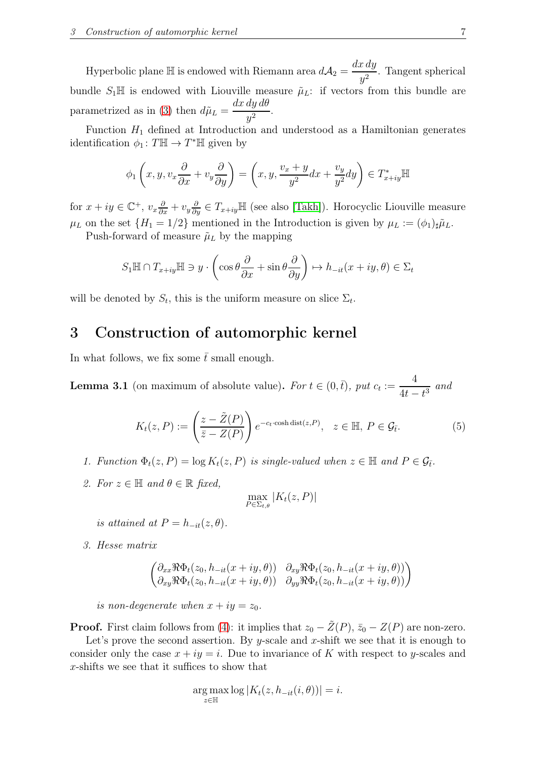Hyperbolic plane  $\mathbb H$  is endowed with Riemann area  $d\mathcal{A}_2 = \frac{dx\,dy}{d^2}$  $\frac{y}{y^2}$ . Tangent spherical bundle  $S_1\mathbb{H}$  is endowed with Liouville measure  $\tilde{\mu}_L$ : if vectors from this bundle are parametrized as in [\(3\)](#page-5-0) then  $d\tilde{\mu}_L =$ dx dy dθ  $\frac{dy}{y^2}$ .

Function  $H_1$  defined at Introduction and understood as a Hamiltonian generates identification  $\phi_1 \colon T \mathbb{H} \to T^* \mathbb{H}$  given by

$$
\phi_1\left(x, y, v_x\frac{\partial}{\partial x} + v_y\frac{\partial}{\partial y}\right) = \left(x, y, \frac{v_x + y}{y^2}dx + \frac{v_y}{y^2}dy\right) \in T^*_{x+iy} \mathbb{H}
$$

for  $x + iy \in \mathbb{C}^+$ ,  $v_x \frac{\partial}{\partial x} + v_y \frac{\partial}{\partial y} \in T_{x+iy} \mathbb{H}$  (see also [\[Takh\]](#page-22-6)). Horocyclic Liouville measure  $\mu_L$  on the set  $\{H_1 = 1/2\}$  mentioned in the Introduction is given by  $\mu_L := (\phi_1)_{\sharp} \tilde{\mu}_L$ .

Push-forward of measure  $\tilde{\mu}_L$  by the mapping

$$
S_1 \mathbb{H} \cap T_{x+iy} \mathbb{H} \ni y \cdot \left( \cos \theta \frac{\partial}{\partial x} + \sin \theta \frac{\partial}{\partial y} \right) \mapsto h_{-it}(x+iy, \theta) \in \Sigma_t
$$

<span id="page-6-0"></span>will be denoted by  $S_t$ , this is the uniform measure on slice  $\Sigma_t$ .

#### 3 Construction of automorphic kernel

In what follows, we fix some  $\bar{t}$  small enough.

<span id="page-6-1"></span>**Lemma 3.1** (on maximum of absolute value). For  $t \in (0, \bar{t})$ , put  $c_t :=$ 4  $\frac{1}{4t-t^3}$  and

<span id="page-6-2"></span>
$$
K_t(z, P) := \left(\frac{z - \tilde{Z}(P)}{\bar{z} - Z(P)}\right) e^{-c_t \cdot \cosh \det(z, P)}, \quad z \in \mathbb{H}, \ P \in \mathcal{G}_{\bar{t}}.
$$
 (5)

- 1. Function  $\Phi_t(z, P) = \log K_t(z, P)$  is single-valued when  $z \in \mathbb{H}$  and  $P \in \mathcal{G}_{\bar{t}}$ .
- 2. For  $z \in \mathbb{H}$  and  $\theta \in \mathbb{R}$  fixed,

$$
\max_{P \in \Sigma_{t,\theta}} |K_t(z, P)|
$$

is attained at  $P = h_{-it}(z, \theta)$ .

3. Hesse matrix

$$
\begin{pmatrix}\n\partial_{xx}\Re\Phi_t(z_0, h_{-it}(x+iy, \theta)) & \partial_{xy}\Re\Phi_t(z_0, h_{-it}(x+iy, \theta)) \\
\partial_{xy}\Re\Phi_t(z_0, h_{-it}(x+iy, \theta)) & \partial_{yy}\Re\Phi_t(z_0, h_{-it}(x+iy, \theta))\n\end{pmatrix}
$$

is non-degenerate when  $x + iy = z_0$ .

**Proof.** First claim follows from [\(4\)](#page-5-1): it implies that  $z_0 - \tilde{Z}(P)$ ,  $\bar{z}_0 - Z(P)$  are non-zero.

Let's prove the second assertion. By y-scale and x-shift we see that it is enough to consider only the case  $x + iy = i$ . Due to invariance of K with respect to y-scales and x-shifts we see that it suffices to show that

$$
\arg\max_{z\in\mathbb{H}}\log|K_t(z,h_{-it}(i,\theta))|=i.
$$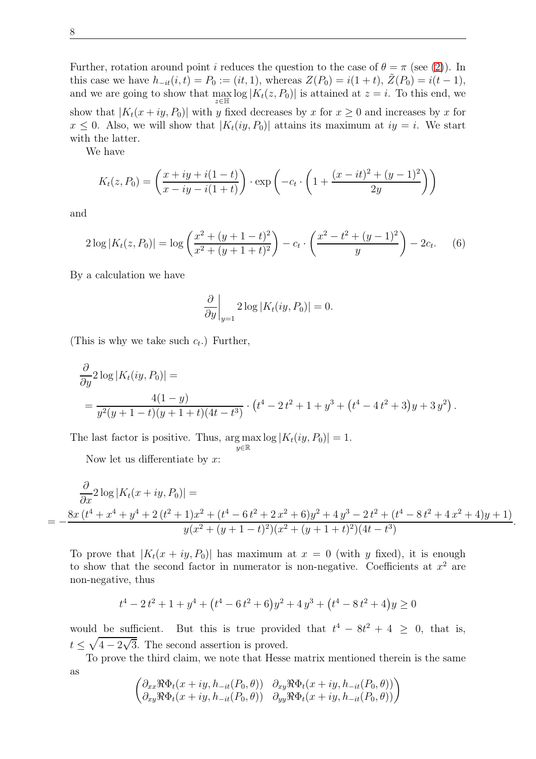Further, rotation around point *i* reduces the question to the case of  $\theta = \pi$  (see [\(2\)](#page-4-1)). In this case we have  $h_{-it}(i, t) = P_0 := (it, 1)$ , whereas  $Z(P_0) = i(1 + t)$ ,  $\tilde{Z}(P_0) = i(t - 1)$ , and we are going to show that  $\max_{z \in \mathbb{H}} \log |K_t(z, P_0)|$  is attained at  $z = i$ . To this end, we show that  $|K_t(x+iy, P_0)|$  with y fixed decreases by x for  $x \ge 0$  and increases by x for  $x \leq 0$ . Also, we will show that  $|K_t(iy, P_0)|$  attains its maximum at  $iy = i$ . We start with the latter.

We have

$$
K_t(z, P_0) = \left(\frac{x + iy + i(1 - t)}{x - iy - i(1 + t)}\right) \cdot \exp\left(-c_t \cdot \left(1 + \frac{(x - it)^2 + (y - 1)^2}{2y}\right)\right)
$$

and

$$
2\log|K_t(z, P_0)| = \log\left(\frac{x^2 + (y + 1 - t)^2}{x^2 + (y + 1 + t)^2}\right) - c_t \cdot \left(\frac{x^2 - t^2 + (y - 1)^2}{y}\right) - 2c_t.
$$
 (6)

By a calculation we have

$$
\frac{\partial}{\partial y}\bigg|_{y=1} 2\log|K_t(iy, P_0)| = 0.
$$

(This is why we take such  $c_t$ .) Further,

$$
\frac{\partial}{\partial y} 2 \log |K_t(iy, P_0)| =
$$
  
= 
$$
\frac{4(1-y)}{y^2(y+1-t)(y+1+t)(4t-t^3)} \cdot (t^4 - 2t^2 + 1 + y^3 + (t^4 - 4t^2 + 3)y + 3y^2).
$$

The last factor is positive. Thus,  $\arg \max_{s \in \mathbb{R}^m} \log |K_t(iy, P_0)| = 1$ . y∈R

Now let us differentiate by  $x$ :

$$
\frac{\partial}{\partial x} 2 \log |K_t(x+iy, P_0)| =
$$
\n
$$
= -\frac{8x(t^4 + x^4 + y^4 + 2(t^2 + 1)x^2 + (t^4 - 6t^2 + 2x^2 + 6)y^2 + 4y^3 - 2t^2 + (t^4 - 8t^2 + 4x^2 + 4)y + 1)}{y(x^2 + (y + 1 - t)^2)(x^2 + (y + 1 + t)^2)(4t - t^3)}
$$

.

To prove that  $|K_t(x+iy, P_0)|$  has maximum at  $x = 0$  (with y fixed), it is enough to show that the second factor in numerator is non-negative. Coefficients at  $x^2$  are non-negative, thus

$$
t^{4} - 2t^{2} + 1 + y^{4} + (t^{4} - 6t^{2} + 6)y^{2} + 4y^{3} + (t^{4} - 8t^{2} + 4)y \ge 0
$$

would be sufficient. But this is true provided that  $t^4 - 8t^2 + 4 \geq 0$ , that is,  $t \leq \sqrt{4 - 2\sqrt{3}}$ . The second assertion is proved.

To prove the third claim, we note that Hesse matrix mentioned therein is the same as

$$
\begin{pmatrix}\n\partial_{xx}\Re\Phi_t(x+iy,h_{-it}(P_0,\theta)) & \partial_{xy}\Re\Phi_t(x+iy,h_{-it}(P_0,\theta)) \\
\partial_{xy}\Re\Phi_t(x+iy,h_{-it}(P_0,\theta)) & \partial_{yy}\Re\Phi_t(x+iy,h_{-it}(P_0,\theta))\n\end{pmatrix}
$$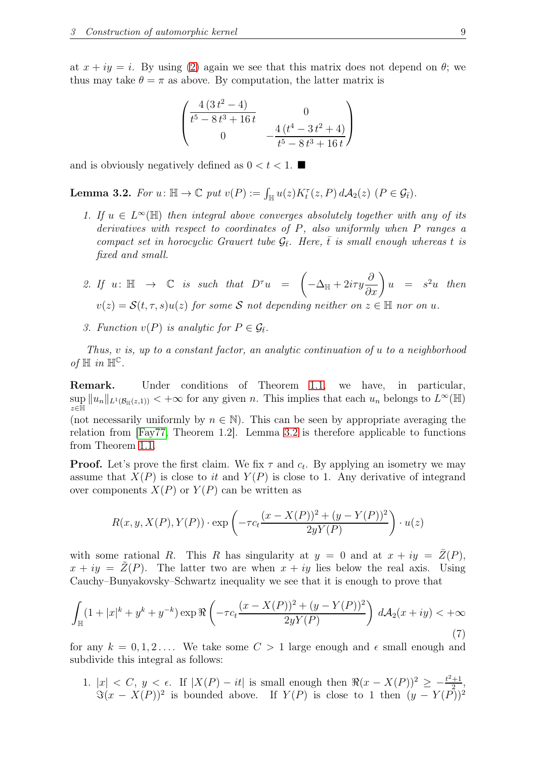at  $x + iy = i$ . By using [\(2\)](#page-4-1) again we see that this matrix does not depend on  $\theta$ ; we thus may take  $\theta = \pi$  as above. By computation, the latter matrix is

$$
\begin{pmatrix}\n4(3t^2 - 4) & 0 \\
t^5 - 8t^3 + 16t & 0 \\
0 & -\frac{4(t^4 - 3t^2 + 4)}{t^5 - 8t^3 + 16t}\n\end{pmatrix}
$$

and is obviously negatively defined as  $0 < t < 1$ .

<span id="page-8-0"></span>**Lemma 3.2.** For  $u: \mathbb{H} \to \mathbb{C}$  put  $v(P) := \int_{\mathbb{H}} u(z) K_t^{\tau}(z, P) dA_2(z)$   $(P \in \mathcal{G}_{\bar{t}})$ .

- 1. If  $u \in L^{\infty}(\mathbb{H})$  then integral above converges absolutely together with any of its derivatives with respect to coordinates of P, also uniformly when P ranges a compact set in horocyclic Grauert tube  $\mathcal{G}_{\bar{t}}$ . Here,  $\bar{t}$  is small enough whereas t is fixed and small.
- 2. If  $u: \mathbb{H} \rightarrow \mathbb{C}$  is such that  $D^{\tau}u =$  $-\Delta_{\mathbb{H}}+2i\tau y$  $\frac{\partial}{\partial x}$  $u = s^2u$  then  $v(z) = \mathcal{S}(t, \tau, s)u(z)$  for some S not depending neither on  $z \in \mathbb{H}$  nor on u.
- 3. Function  $v(P)$  is analytic for  $P \in \mathcal{G}_{\bar{t}}$ .

Thus, v is, up to a constant factor, an analytic continuation of u to a neighborhood of  $\mathbb H$  in  $\mathbb H^{\mathbb C}$ .

Remark. Under conditions of Theorem [1.1,](#page-2-0) we have, in particular,  $\sup_{x \in \mathbb{R}} ||u_n||_{L^1(\mathcal{B}_{\mathbb{H}}(z,1))} < +\infty$  for any given n. This implies that each  $u_n$  belongs to  $L^{\infty}(\mathbb{H})$ z∈H (not necessarily uniformly by  $n \in \mathbb{N}$ ). This can be seen by appropriate averaging the relation from [\[Fay77,](#page-21-9) Theorem 1.2]. Lemma [3.2](#page-8-0) is therefore applicable to functions

from Theorem [1.1.](#page-2-0)

**Proof.** Let's prove the first claim. We fix  $\tau$  and  $c_t$ . By applying an isometry we may assume that  $X(P)$  is close to it and  $Y(P)$  is close to 1. Any derivative of integrand over components  $X(P)$  or  $Y(P)$  can be written as

$$
R(x, y, X(P), Y(P)) \cdot \exp\left(-\tau c_t \frac{(x - X(P))^2 + (y - Y(P))^2}{2yY(P)}\right) \cdot u(z)
$$

with some rational R. This R has singularity at  $y = 0$  and at  $x + iy = \bar{Z}(P)$ ,  $x + iy = \overline{Z}(P)$ . The latter two are when  $x + iy$  lies below the real axis. Using Cauchy–Bunyakovsky–Schwartz inequality we see that it is enough to prove that

<span id="page-8-1"></span>
$$
\int_{\mathbb{H}} (1+|x|^k + y^k + y^{-k}) \exp \Re \left( -\tau c_t \frac{(x - X(P))^2 + (y - Y(P))^2}{2yY(P)} \right) d\mathcal{A}_2(x+iy) < +\infty
$$
\n(7)

for any  $k = 0, 1, 2, \ldots$  We take some  $C > 1$  large enough and  $\epsilon$  small enough and subdivide this integral as follows:

1.  $|x| < C$ ,  $y < \epsilon$ . If  $|X(P) - it|$  is small enough then  $\Re(x - X(P))^2 \geq \frac{t^2+1}{2}$  $rac{+1}{2}$ ,  $\Im(x-X(P))^2$  is bounded above. If  $Y(P)$  is close to 1 then  $(y-Y(P))^2$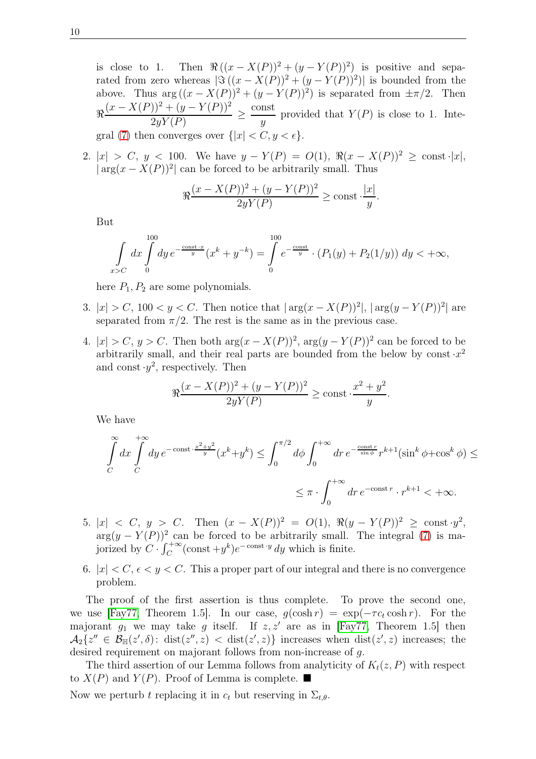is close to 1. Then  $\Re((x-X(P))^2+(y-Y(P))^2)$  is positive and separated from zero whereas  $|\Im((x-X(P))^2+(y-Y(P))^2)|$  is bounded from the above. Thus  $\arg((x - X(P))^2 + (y - Y(P))^2)$  is separated from  $\pm \pi/2$ . Then ℜ  $(x - X(P))^2 + (y - Y(P))^2$  $\frac{2yY(P)}{2y^2} \geq$ const  $\hat{y}$ provided that  $Y(P)$  is close to 1. Inte-gral [\(7\)](#page-8-1) then converges over  $\{|x| < C, y < \epsilon\}.$ 

2.  $|x| > C$ ,  $y < 100$ . We have  $y - Y(P) = O(1)$ ,  $\Re(x - X(P))^2 \ge \text{const.} |x|$ ,  $|\arg(x - X(P))^2|$  can be forced to be arbitrarily small. Thus

$$
\Re \frac{(x - X(P))^2 + (y - Y(P))^2}{2yY(P)} \ge \text{const} \cdot \frac{|x|}{y}.
$$

But

$$
\int_{x>C} dx \int_{0}^{100} dy e^{-\frac{\text{const.} \cdot x}{y}} (x^k + y^{-k}) = \int_{0}^{100} e^{-\frac{\text{const}}{y}} \cdot (P_1(y) + P_2(1/y)) \, dy < +\infty,
$$

here  $P_1, P_2$  are some polynomials.

- 3.  $|x| > C$ , 100  $\lt y \lt C$ . Then notice that  $|\arg(x X(P))^2|$ ,  $|\arg(y Y(P))^2|$  are separated from  $\pi/2$ . The rest is the same as in the previous case.
- 4.  $|x| > C$ ,  $y > C$ . Then both  $\arg(x X(P))^2$ ,  $\arg(y Y(P))^2$  can be forced to be arbitrarily small, and their real parts are bounded from the below by const  $x^2$ and const  $y^2$ , respectively. Then

$$
\Re \frac{(x - X(P))^2 + (y - Y(P))^2}{2yY(P)} \ge \text{const} \cdot \frac{x^2 + y^2}{y}.
$$

We have

$$
\int_{C}^{\infty} dx \int_{C}^{+\infty} dy e^{-\text{const} \cdot \frac{x^{2} + y^{2}}{y}} (x^{k} + y^{k}) \le \int_{0}^{\pi/2} d\phi \int_{0}^{+\infty} dr e^{-\frac{\text{const} r}{\sin \phi}} r^{k+1} (\sin^{k} \phi + \cos^{k} \phi) \le
$$
  

$$
\le \pi \cdot \int_{0}^{+\infty} dr e^{-\text{const} r} \cdot r^{k+1} < +\infty.
$$

- 5.  $|x| < C, y > C$ . Then  $(x X(P))^2 = O(1), \Re(y Y(P))^2 \ge \text{const} \cdot y^2$ ,  $\arg(y - Y(P))^2$  can be forced to be arbitrarily small. The integral [\(7\)](#page-8-1) is majorized by  $C \cdot \int_C^{+\infty} (\text{const} + y^k) e^{-\text{const} \cdot y} dy$  which is finite.
- 6.  $|x| < C$ ,  $\epsilon < y < C$ . This a proper part of our integral and there is no convergence problem.

The proof of the first assertion is thus complete. To prove the second one, we use [\[Fay77,](#page-21-9) Theorem 1.5]. In our case,  $g(\cosh r) = \exp(-\tau c_t \cosh r)$ . For the majorant  $g_1$  we may take g itself. If  $z, z'$  are as in [\[Fay77,](#page-21-9) Theorem 1.5] then  $\mathcal{A}_2\{z'' \in \mathcal{B}_{\mathbb{H}}(z',\delta): \text{ dist}(z'',z) \leq \text{ dist}(z',z)\}\$ increases when  $\text{ dist}(z',z)$  increases; the desired requirement on majorant follows from non-increase of g.

The third assertion of our Lemma follows from analyticity of  $K_t(z, P)$  with respect to  $X(P)$  and  $Y(P)$ . Proof of Lemma is complete.

Now we perturb t replacing it in  $c_t$  but reserving in  $\Sigma_{t,\theta}$ .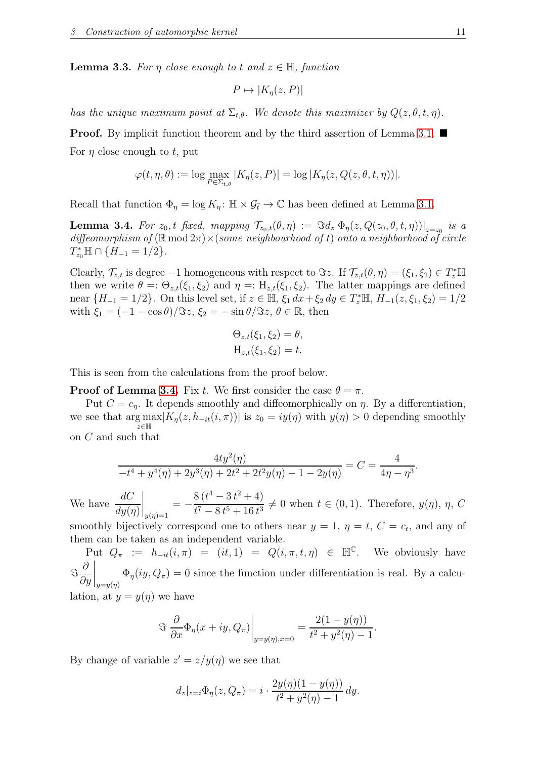<span id="page-10-1"></span>**Lemma 3.3.** For  $\eta$  close enough to t and  $z \in \mathbb{H}$ , function

$$
P \mapsto |K_{\eta}(z, P)|
$$

has the unique maximum point at  $\Sigma_{t,\theta}$ . We denote this maximizer by  $Q(z,\theta,t,\eta)$ .

**Proof.** By implicit function theorem and by the third assertion of Lemma [3.1.](#page-6-1) For  $\eta$  close enough to t, put

$$
\varphi(t,\eta,\theta) := \log \max_{P \in \Sigma_{t,\theta}} |K_{\eta}(z,P)| = \log |K_{\eta}(z,Q(z,\theta,t,\eta))|.
$$

Recall that function  $\Phi_{\eta} = \log K_{\eta} : \mathbb{H} \times \mathcal{G}_{\bar{t}} \to \mathbb{C}$  has been defined at Lemma [3.1.](#page-6-1)

<span id="page-10-0"></span>**Lemma 3.4.** For  $z_0$ , t fixed, mapping  $\mathcal{T}_{z_0,t}(\theta,\eta) := \Im d_z \Phi_{\eta}(z,Q(z_0,\theta,t,\eta))|_{z=z_0}$  is a diffeomorphism of  $(\mathbb{R} \mod 2\pi) \times$  (some neighbourhood of t) onto a neighborhood of circle  $T_{z_0}^* \mathbb{H} \cap \{H_{-1} = 1/2\}.$ 

Clearly,  $\mathcal{T}_{z,t}$  is degree  $-1$  homogeneous with respect to  $\Im z$ . If  $\mathcal{T}_{z,t}(\theta, \eta) = (\xi_1, \xi_2) \in T_z^* \mathbb{H}$ then we write  $\theta =: \Theta_{z,t}(\xi_1, \xi_2)$  and  $\eta =: H_{z,t}(\xi_1, \xi_2)$ . The latter mappings are defined near  $\{H_{-1} = 1/2\}$ . On this level set, if  $z \in \mathbb{H}$ ,  $\xi_1 dx + \xi_2 dy \in T_z^* \mathbb{H}$ ,  $H_{-1}(z, \xi_1, \xi_2) = 1/2$ with  $\xi_1 = (-1 - \cos \theta)/\Im z$ ,  $\xi_2 = -\sin \theta/\Im z$ ,  $\theta \in \mathbb{R}$ , then

$$
\Theta_{z,t}(\xi_1, \xi_2) = \theta,
$$
  
\n
$$
\mathrm{H}_{z,t}(\xi_1, \xi_2) = t.
$$

This is seen from the calculations from the proof below.

**Proof of Lemma [3.4.](#page-10-0)** Fix t. We first consider the case  $\theta = \pi$ .

 $8(t^4-3t^2+4)$ 

Put  $C = c_n$ . It depends smoothly and diffeomorphically on  $\eta$ . By a differentiation, we see that  $\arg \max_{\eta} |K_{\eta}(z, h_{-it}(i, \pi))|$  is  $z_0 = iy(\eta)$  with  $y(\eta) > 0$  depending smoothly z∈H on C and such that

$$
\frac{4ty^2(\eta)}{-t^4 + y^4(\eta) + 2y^3(\eta) + 2t^2 + 2t^2y(\eta) - 1 - 2y(\eta)} = C = \frac{4}{4\eta - \eta^3}.
$$

We have  $\frac{dC}{1}$  $dy(\eta)$  $\Bigg|_{y(\eta)=1} = -$ 

 $\frac{f(t)-f(t)-f(t)}{t^7-8t^5+16t^3} \neq 0$  when  $t \in (0,1)$ . Therefore,  $y(\eta)$ ,  $\eta$ , C smoothly bijectively correspond one to others near  $y = 1$ ,  $\eta = t$ ,  $C = c_t$ , and any of them can be taken as an independent variable.

Put  $Q_{\pi} := h_{-it}(i, \pi) = (it, 1) = Q(i, \pi, t, \eta) \in \mathbb{H}^{\mathbb{C}}$ . We obviously have ℑ  $\partial$ ∂y  $\bigg|_{y=y(\eta)}$  $\Phi_{\eta}(iy, Q_{\pi}) = 0$  since the function under differentiation is real. By a calculation, at  $y = y(\eta)$  we have

$$
\mathfrak{F}\left.\frac{\partial}{\partial x}\Phi_{\eta}(x+iy,Q_{\pi})\right|_{y=y(\eta),x=0}=\frac{2(1-y(\eta))}{t^2+y^2(\eta)-1}.
$$

By change of variable  $z' = z/y(\eta)$  we see that

$$
d_z|_{z=i}\Phi_{\eta}(z,Q_{\pi})=i\cdot\frac{2y(\eta)(1-y(\eta))}{t^2+y^2(\eta)-1}\,dy.
$$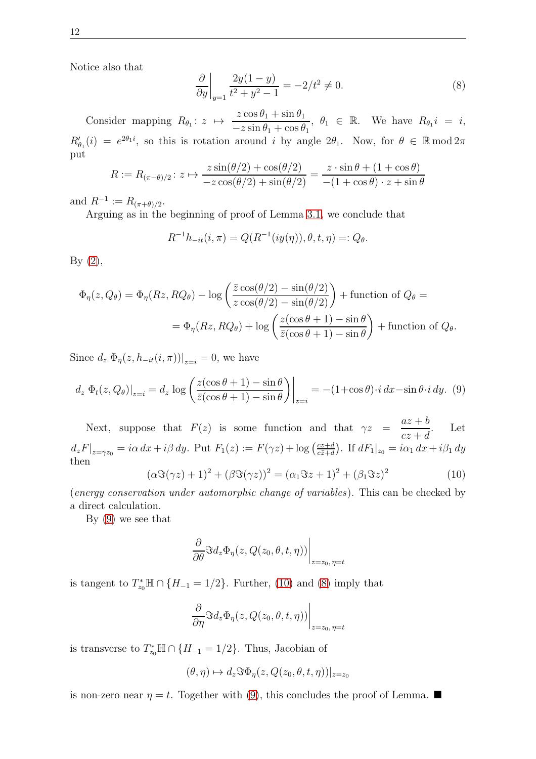Notice also that

<span id="page-11-2"></span>
$$
\frac{\partial}{\partial y}\bigg|_{y=1} \frac{2y(1-y)}{t^2 + y^2 - 1} = -2/t^2 \neq 0.
$$
\n(8)

Consider mapping  $R_{\theta_1}: z \mapsto$  $z\cos\theta_1+\sin\theta_1$  $-z \sin \theta_1 + \cos \theta_1$ ,  $\theta_1 \in \mathbb{R}$ . We have  $R_{\theta_1} i = i$ ,  $R'_{\theta_1}(i) = e^{2\theta_1 i}$ , so this is rotation around i by angle  $2\theta_1$ . Now, for  $\theta \in \mathbb{R} \mod 2\pi$ put

$$
R := R_{(\pi-\theta)/2} \colon z \mapsto \frac{z \sin(\theta/2) + \cos(\theta/2)}{-z \cos(\theta/2) + \sin(\theta/2)} = \frac{z \cdot \sin \theta + (1 + \cos \theta)}{-(1 + \cos \theta) \cdot z + \sin \theta}
$$

and  $R^{-1} := R_{(\pi+\theta)/2}$ .

Arguing as in the beginning of proof of Lemma [3.1,](#page-6-1) we conclude that

$$
R^{-1}h_{-it}(i,\pi) = Q(R^{-1}(iy(\eta)),\theta,t,\eta) =: Q_{\theta}.
$$

 $By (2),$  $By (2),$  $By (2),$ 

$$
\Phi_{\eta}(z, Q_{\theta}) = \Phi_{\eta}(Rz, RQ_{\theta}) - \log\left(\frac{\bar{z}\cos(\theta/2) - \sin(\theta/2)}{z\cos(\theta/2) - \sin(\theta/2)}\right) + \text{function of } Q_{\theta} =
$$

$$
= \Phi_{\eta}(Rz, RQ_{\theta}) + \log\left(\frac{z(\cos\theta + 1) - \sin\theta}{\bar{z}(\cos\theta + 1) - \sin\theta}\right) + \text{function of } Q_{\theta}.
$$

Since  $d_z \Phi_{\eta}(z, h_{-it}(i, \pi))|_{z=i} = 0$ , we have

<span id="page-11-0"></span>
$$
d_z \Phi_t(z, Q_\theta)|_{z=i} = d_z \log \left( \frac{z(\cos \theta + 1) - \sin \theta}{\bar{z}(\cos \theta + 1) - \sin \theta} \right) \Big|_{z=i} = -(1 + \cos \theta) \cdot i \, dx - \sin \theta \cdot i \, dy. \tag{9}
$$

Next, suppose that  $F(z)$  is some function and that  $\gamma z =$  $az + b$  $cz + d$ . Let  $d_zF|_{z=\gamma z_0} = i\alpha \,dx + i\beta \,dy.$  Put  $F_1(z) := F(\gamma z) + \log \left(\frac{cz+d}{cz+d}\right)$  $\frac{cz+d}{c\bar{z}+d}$ . If  $dF_1|_{z_0} = i\alpha_1 dx + i\beta_1 dy$ then

<span id="page-11-1"></span>
$$
(\alpha \Im(\gamma z) + 1)^2 + (\beta \Im(\gamma z))^2 = (\alpha_1 \Im z + 1)^2 + (\beta_1 \Im z)^2 \tag{10}
$$

(energy conservation under automorphic change of variables). This can be checked by a direct calculation.

By [\(9\)](#page-11-0) we see that

$$
\left. \frac{\partial}{\partial \theta} \Im d_z \Phi_{\eta}(z, Q(z_0, \theta, t, \eta)) \right|_{z=z_0, \eta=t}
$$

is tangent to  $T_{z_0}^* \mathbb{H} \cap \{H_{-1} = 1/2\}$ . Further, [\(10\)](#page-11-1) and [\(8\)](#page-11-2) imply that

$$
\left. \frac{\partial}{\partial \eta} \Im d_z \Phi_{\eta}(z, Q(z_0, \theta, t, \eta)) \right|_{z=z_0, \eta=t}
$$

is transverse to  $T_{z_0}^* \mathbb{H} \cap \{H_{-1} = 1/2\}$ . Thus, Jacobian of

$$
(\theta, \eta) \mapsto d_z \Im \Phi_{\eta}(z, Q(z_0, \theta, t, \eta))|_{z=z_0}
$$

is non-zero near  $\eta = t$ . Together with [\(9\)](#page-11-0), this concludes the proof of Lemma.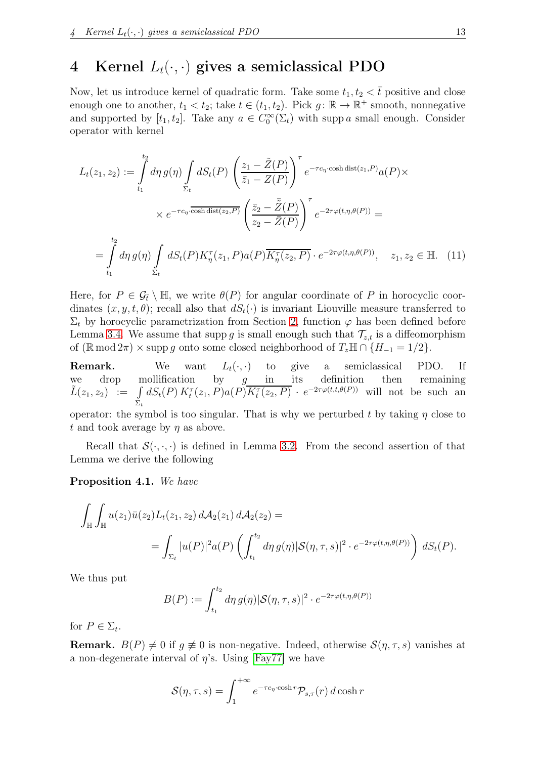## <span id="page-12-0"></span>4 Kernel  $L_t(\cdot, \cdot)$  gives a semiclassical PDO

Now, let us introduce kernel of quadratic form. Take some  $t_1, t_2 < \bar{t}$  positive and close enough one to another,  $t_1 < t_2$ ; take  $t \in (t_1, t_2)$ . Pick  $g: \mathbb{R} \to \mathbb{R}^+$  smooth, nonnegative and supported by  $[t_1, t_2]$ . Take any  $a \in C_0^{\infty}(\Sigma_t)$  with supp a small enough. Consider operator with kernel

$$
L_t(z_1, z_2) := \int_{t_1}^{t_2} d\eta g(\eta) \int_{\Sigma_t} dS_t(P) \left( \frac{z_1 - \tilde{Z}(P)}{\bar{z}_1 - Z(P)} \right)^{\tau} e^{-\tau c_{\eta} \cdot \cosh \operatorname{dist}(z_1, P)} a(P) \times
$$
  
 
$$
\times e^{-\tau c_{\eta} \cdot \overline{\cosh \operatorname{dist}(z_2, P)}} \left( \frac{\bar{z}_2 - \tilde{Z}(P)}{z_2 - \bar{Z}(P)} \right)^{\tau} e^{-2\tau \varphi(t, \eta, \theta(P))} =
$$
  

$$
= \int_{t_1}^{t_2} d\eta g(\eta) \int_{\Sigma_t} dS_t(P) K_{\eta}^{\tau}(z_1, P) a(P) \overline{K_{\eta}^{\tau}(z_2, P)} \cdot e^{-2\tau \varphi(t, \eta, \theta(P))}, \quad z_1, z_2 \in \mathbb{H}. \quad (11)
$$

Here, for  $P \in \mathcal{G}_{\bar{t}} \setminus \mathbb{H}$ , we write  $\theta(P)$  for angular coordinate of P in horocyclic coordinates  $(x, y, t, \theta)$ ; recall also that  $dS_t(\cdot)$  is invariant Liouville measure transferred to  $\Sigma_t$  by horocyclic parametrization from Section [2,](#page-4-0) function  $\varphi$  has been defined before Lemma [3.4.](#page-10-0) We assume that supp g is small enough such that  $\mathcal{T}_{z,t}$  is a diffeomorphism of  $(\mathbb{R} \mod 2\pi) \times \text{supp } g$  onto some closed neighborhood of  $T_z \mathbb{H} \cap \{H_{-1} = 1/2\}$ .

**Remark.** We want  $L_t(\cdot, \cdot)$  to give a semiclassical PDO. If we drop mollification by  $g$  in its definition then remaining  $\tilde{L}(z_1, z_2) := \int$  $\Sigma_t$  $dS_t(P) K_t^{\tau}(z_1, P) a(P) \overline{K_t^{\tau}(z_2, P)} \cdot e^{-2\tau \varphi(t,t,\theta(P))}$  will not be such an

operator: the symbol is too singular. That is why we perturbed t by taking  $\eta$  close to t and took average by  $\eta$  as above.

Recall that  $\mathcal{S}(\cdot,\cdot,\cdot)$  is defined in Lemma [3.2.](#page-8-0) From the second assertion of that Lemma we derive the following

Proposition 4.1. We have

$$
\int_{\mathbb{H}} \int_{\mathbb{H}} u(z_1) \bar{u}(z_2) L_t(z_1, z_2) d\mathcal{A}_2(z_1) d\mathcal{A}_2(z_2) =
$$
\n
$$
= \int_{\Sigma_t} |u(P)|^2 a(P) \left( \int_{t_1}^{t_2} d\eta \, g(\eta) |\mathcal{S}(\eta, \tau, s)|^2 \cdot e^{-2\tau \varphi(t, \eta, \theta(P))} \right) dS_t(P).
$$

We thus put

$$
B(P) := \int_{t_1}^{t_2} d\eta \, g(\eta) |\mathcal{S}(\eta, \tau, s)|^2 \cdot e^{-2\tau \varphi(t, \eta, \theta(P))}
$$

for  $P \in \Sigma_t$ .

**Remark.**  $B(P) \neq 0$  if  $q \neq 0$  is non-negative. Indeed, otherwise  $\mathcal{S}(\eta, \tau, s)$  vanishes at a non-degenerate interval of  $\eta$ 's. Using [\[Fay77\]](#page-21-9) we have

$$
\mathcal{S}(\eta,\tau,s) = \int_1^{+\infty} e^{-\tau c_\eta \cdot \cosh r} \mathcal{P}_{s,\tau}(r) \, d\cosh r
$$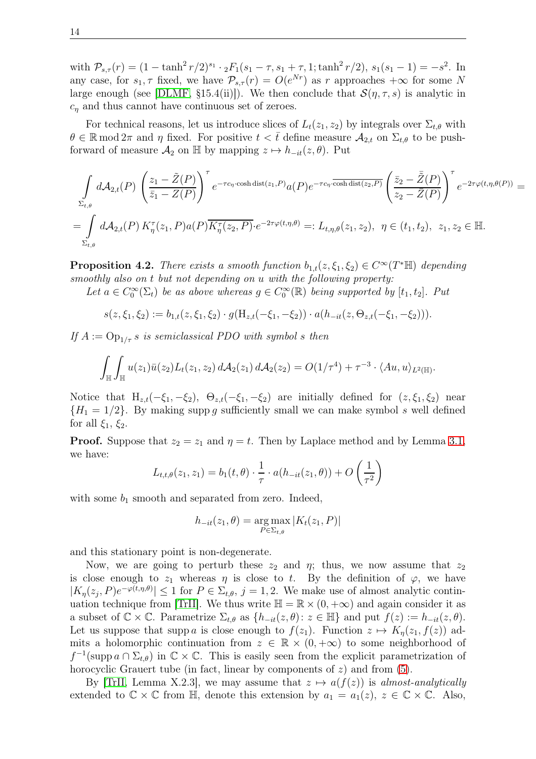with  $P_{s,\tau}(r) = (1 - \tanh^2 r/2)^{s_1} \cdot {}_2F_1(s_1 - \tau, s_1 + \tau, 1; \tanh^2 r/2), s_1(s_1 - 1) = -s^2$ . In any case, for  $s_1, \tau$  fixed, we have  $\mathcal{P}_{s,\tau}(r) = O(e^{Nr})$  as r approaches  $+\infty$  for some N large enough (see [\[DLMF,](#page-21-12) §15.4(ii)]). We then conclude that  $\mathcal{S}(\eta, \tau, s)$  is analytic in  $c_n$  and thus cannot have continuous set of zeroes.

For technical reasons, let us introduce slices of  $L_t(z_1, z_2)$  by integrals over  $\Sigma_{t,\theta}$  with  $\theta \in \mathbb{R} \mod 2\pi$  and  $\eta$  fixed. For positive  $t < \bar{t}$  define measure  $\mathcal{A}_{2,t}$  on  $\Sigma_{t,\theta}$  to be pushforward of measure  $\mathcal{A}_2$  on H by mapping  $z \mapsto h_{-it}(z, \theta)$ . Put

$$
\int_{\Sigma_{t,\theta}} d\mathcal{A}_{2,t}(P) \left( \frac{z_1 - \tilde{Z}(P)}{\bar{z}_1 - Z(P)} \right)^{\tau} e^{-\tau c_{\eta} \cdot \cosh \operatorname{dist}(z_1, P)} a(P) e^{-\tau c_{\eta} \cdot \overline{\cosh \operatorname{dist}(z_2, P)}} \left( \frac{\bar{z}_2 - \bar{\tilde{Z}}(P)}{z_2 - \bar{Z}(P)} \right)^{\tau} e^{-2\tau \varphi(t, \eta, \theta(P))} =
$$
\n
$$
= \int_{\Sigma_{t,\theta}} d\mathcal{A}_{2,t}(P) K_{\eta}^{\tau}(z_1, P) a(P) \overline{K_{\eta}^{\tau}(z_2, P)} \cdot e^{-2\tau \varphi(t, \eta, \theta)} =: L_{t, \eta, \theta}(z_1, z_2), \ \eta \in (t_1, t_2), \ z_1, z_2 \in \mathbb{H}.
$$

<span id="page-13-0"></span>**Proposition 4.2.** There exists a smooth function  $b_{1,t}(z,\xi_1,\xi_2) \in C^{\infty}(T^*\mathbb{H})$  depending smoothly also on t but not depending on u with the following property:

Let  $a \in C_0^{\infty}(\Sigma_t)$  be as above whereas  $g \in C_0^{\infty}(\mathbb{R})$  being supported by  $[t_1, t_2]$ . Put

$$
s(z,\xi_1,\xi_2) := b_{1,t}(z,\xi_1,\xi_2) \cdot g(\mathbf{H}_{z,t}(-\xi_1,-\xi_2)) \cdot a(h_{-it}(z,\Theta_{z,t}(-\xi_1,-\xi_2))).
$$

If  $A := \text{Op}_{1/\tau} s$  is semiclassical PDO with symbol s then

$$
\int_{\mathbb{H}}\int_{\mathbb{H}}u(z_1)\bar{u}(z_2)L_t(z_1,z_2) d\mathcal{A}_2(z_1) d\mathcal{A}_2(z_2)=O(1/\tau^4)+\tau^{-3}\cdot\langle Au,u\rangle_{L^2(\mathbb{H})}.
$$

Notice that  $H_{z,t}(-\xi_1,-\xi_2), \Theta_{z,t}(-\xi_1,-\xi_2)$  are initially defined for  $(z,\xi_1,\xi_2)$  near  ${H_1 = 1/2}$ . By making supp g sufficiently small we can make symbol s well defined for all  $\xi_1, \xi_2$ .

**Proof.** Suppose that  $z_2 = z_1$  and  $\eta = t$ . Then by Laplace method and by Lemma [3.1,](#page-6-1) we have:

$$
L_{t,t,\theta}(z_1, z_1) = b_1(t, \theta) \cdot \frac{1}{\tau} \cdot a(h_{-it}(z_1, \theta)) + O\left(\frac{1}{\tau^2}\right)
$$

with some  $b_1$  smooth and separated from zero. Indeed,

$$
h_{-it}(z_1, \theta) = \underset{P \in \Sigma_{t, \theta}}{\arg \max} |K_t(z_1, P)|
$$

and this stationary point is non-degenerate.

Now, we are going to perturb these  $z_2$  and  $\eta$ ; thus, we now assume that  $z_2$ is close enough to  $z_1$  whereas  $\eta$  is close to t. By the definition of  $\varphi$ , we have  $|K_{\eta}(z_j, P)e^{-\varphi(t,\eta,\theta)}| \leq 1$  for  $P \in \Sigma_{t,\theta}$ ,  $j = 1, 2$ . We make use of almost analytic contin-uation technique from [\[TrII\]](#page-22-5). We thus write  $\mathbb{H} = \mathbb{R} \times (0, +\infty)$  and again consider it as a subset of  $\mathbb{C} \times \mathbb{C}$ . Parametrize  $\Sigma_{t,\theta}$  as  $\{h_{-it}(z,\theta): z \in \mathbb{H}\}\$ and put  $f(z) := h_{-it}(z,\theta)$ . Let us suppose that supp a is close enough to  $f(z_1)$ . Function  $z \mapsto K_n(z_1, f(z))$  admits a holomorphic continuation from  $z \in \mathbb{R} \times (0, +\infty)$  to some neighborhood of  $f^{-1}(\text{supp }a \cap \Sigma_{t,\theta})$  in  $\mathbb{C} \times \mathbb{C}$ . This is easily seen from the explicit parametrization of horocyclic Grauert tube (in fact, linear by components of  $z$ ) and from  $(5)$ .

By [\[TrII,](#page-22-5) Lemma X.2.3], we may assume that  $z \mapsto a(f(z))$  is almost-analytically extended to  $\mathbb{C} \times \mathbb{C}$  from  $\mathbb{H}$ , denote this extension by  $a_1 = a_1(z)$ ,  $z \in \mathbb{C} \times \mathbb{C}$ . Also,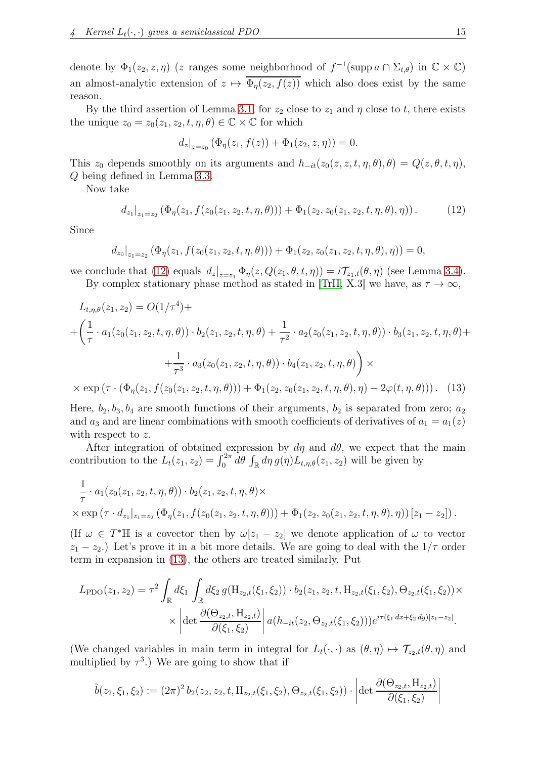denote by  $\Phi_1(z_2, z, \eta)$  (z ranges some neighborhood of  $f^{-1}(\text{supp } a \cap \Sigma_{t,\theta})$  in  $\mathbb{C} \times \mathbb{C}$ ) an almost-analytic extension of  $z \mapsto \overline{\Phi_n(z_2, f(z))}$  which also does exist by the same reason.

By the third assertion of Lemma [3.1,](#page-6-1) for  $z_2$  close to  $z_1$  and  $\eta$  close to t, there exists the unique  $z_0 = z_0(z_1, z_2, t, \eta, \theta) \in \mathbb{C} \times \mathbb{C}$  for which

<span id="page-14-1"></span>
$$
d_z|_{z=z_0} (\Phi_{\eta}(z_1, f(z)) + \Phi_1(z_2, z, \eta)) = 0.
$$

This  $z_0$  depends smoothly on its arguments and  $h_{-it}(z_0(z, z, t, \eta, \theta), \theta) = Q(z, \theta, t, \eta)$ , Q being defined in Lemma [3.3.](#page-10-1)

Now take

<span id="page-14-0"></span>
$$
d_{z_1}|_{z_1=z_2} (\Phi_{\eta}(z_1, f(z_0(z_1, z_2, t, \eta, \theta))) + \Phi_1(z_2, z_0(z_1, z_2, t, \eta, \theta), \eta)). \tag{12}
$$

Since

$$
d_{z_0}|_{z_1=z_2} (\Phi_{\eta}(z_1, f(z_0(z_1, z_2, t, \eta, \theta))) + \Phi_{1}(z_2, z_0(z_1, z_2, t, \eta, \theta), \eta)) = 0,
$$

we conclude that [\(12\)](#page-14-0) equals  $d_z|_{z=z_1} \Phi_{\eta}(z, Q(z_1, \theta, t, \eta)) = i \mathcal{T}_{z_1,t}(\theta, \eta)$  (see Lemma [3.4\)](#page-10-0). By complex stationary phase method as stated in [\[TrII,](#page-22-5) X.3] we have, as  $\tau \to \infty$ ,

$$
L_{t,\eta,\theta}(z_1, z_2) = O(1/\tau^4) +
$$
  
+  $\left(\frac{1}{\tau} \cdot a_1(z_0(z_1, z_2, t, \eta, \theta)) \cdot b_2(z_1, z_2, t, \eta, \theta) + \frac{1}{\tau^2} \cdot a_2(z_0(z_1, z_2, t, \eta, \theta)) \cdot b_3(z_1, z_2, t, \eta, \theta) +$   
+  $\frac{1}{\tau^3} \cdot a_3(z_0(z_1, z_2, t, \eta, \theta)) \cdot b_4(z_1, z_2, t, \eta, \theta) \right) \times$   
×  $\exp(\tau \cdot (\Phi_{\eta}(z_1, f(z_0(z_1, z_2, t, \eta, \theta))) + \Phi_1(z_2, z_0(z_1, z_2, t, \eta, \theta), \eta) - 2\varphi(t, \eta, \theta)))$ . (13)

Here,  $b_2, b_3, b_4$  are smooth functions of their arguments,  $b_2$  is separated from zero;  $a_2$ and  $a_3$  and are linear combinations with smooth coefficients of derivatives of  $a_1 = a_1(z)$ with respect to z.

After integration of obtained expression by  $d\eta$  and  $d\theta$ , we expect that the main contribution to the  $L_t(z_1, z_2) = \int_0^{2\pi} d\theta \int_{\mathbb{R}} d\eta g(\eta) L_{t,\eta,\theta}(z_1, z_2)$  will be given by

$$
\frac{1}{\tau} \cdot a_1(z_0(z_1, z_2, t, \eta, \theta)) \cdot b_2(z_1, z_2, t, \eta, \theta) \times \times \exp(\tau \cdot d_{z_1}|_{z_1=z_2} (\Phi_{\eta}(z_1, f(z_0(z_1, z_2, t, \eta, \theta))) + \Phi_1(z_2, z_0(z_1, z_2, t, \eta, \theta), \eta)) [z_1 - z_2]).
$$

(If  $\omega \in T^* \mathbb{H}$  is a covector then by  $\omega[z_1 - z_2]$  we denote application of  $\omega$  to vector  $z_1 - z_2$ .) Let's prove it in a bit more details. We are going to deal with the  $1/\tau$  order term in expansion in [\(13\)](#page-14-1), the others are treated similarly. Put

$$
L_{\text{PDO}}(z_1, z_2) = \tau^2 \int_{\mathbb{R}} d\xi_1 \int_{\mathbb{R}} d\xi_2 g(\mathbf{H}_{z_2, t}(\xi_1, \xi_2)) \cdot b_2(z_1, z_2, t, \mathbf{H}_{z_2, t}(\xi_1, \xi_2), \Theta_{z_2, t}(\xi_1, \xi_2)) \times
$$

$$
\times \left| \det \frac{\partial(\Theta_{z_2, t}, \mathbf{H}_{z_2, t})}{\partial(\xi_1, \xi_2)} \right| a(h_{-it}(z_2, \Theta_{z_2, t}(\xi_1, \xi_2))) e^{i\tau(\xi_1 dx + \xi_2 dy)[z_1 - z_2]}.
$$

(We changed variables in main term in integral for  $L_t(\cdot, \cdot)$  as  $(\theta, \eta) \mapsto \mathcal{T}_{z_2,t}(\theta, \eta)$  and multiplied by  $\tau^3$ .) We are going to show that if

$$
\tilde{b}(z_2,\xi_1,\xi_2) := (2\pi)^2 b_2(z_2,z_2,t,\mathrm{H}_{z_2,t}(\xi_1,\xi_2),\Theta_{z_2,t}(\xi_1,\xi_2)) \cdot \left| \det \frac{\partial(\Theta_{z_2,t},\mathrm{H}_{z_2,t})}{\partial(\xi_1,\xi_2)} \right|
$$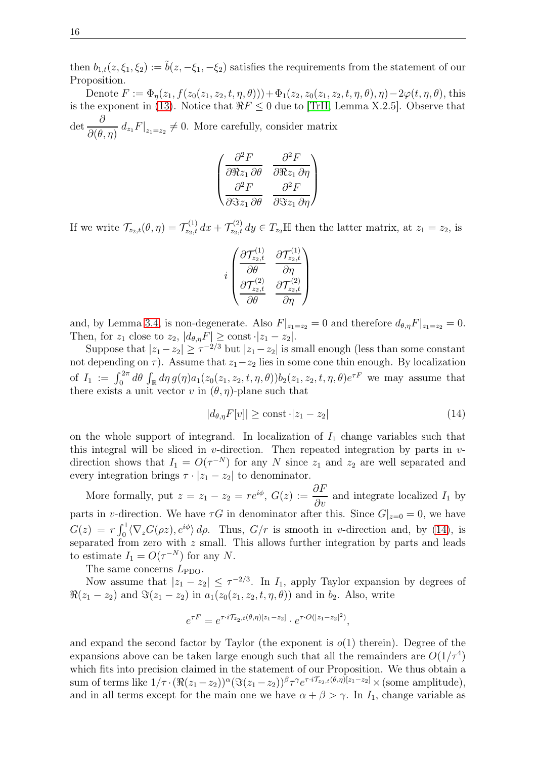then  $b_{1,t}(z,\xi_1,\xi_2) := \tilde{b}(z,-\xi_1,-\xi_2)$  satisfies the requirements from the statement of our Proposition.

Denote  $F := \Phi_{\eta}(z_1, f(z_0(z_1, z_2, t, \eta, \theta))) + \Phi_1(z_2, z_0(z_1, z_2, t, \eta, \theta), \eta) - 2\varphi(t, \eta, \theta)$ , this is the exponent in [\(13\)](#page-14-1). Notice that  $\Re F \leq 0$  due to [\[TrII,](#page-22-5) Lemma X.2.5]. Observe that det  $\frac{\partial}{\partial \Omega}$  $\frac{\partial}{\partial(\theta,\eta)} d_{z_1} F|_{z_1=z_2} \neq 0$ . More carefully, consider matrix

$$
\begin{pmatrix}\n\frac{\partial^2 F}{\partial \Re z_1 \, \partial \theta} & \frac{\partial^2 F}{\partial \Re z_1 \, \partial \eta} \\
\frac{\partial^2 F}{\partial \Im z_1 \, \partial \theta} & \frac{\partial^2 F}{\partial \Im z_1 \, \partial \eta}\n\end{pmatrix}
$$

If we write  $\mathcal{T}_{z_2,t}(\theta,\eta) = \mathcal{T}_{z_2,t}^{(1)} dx + \mathcal{T}_{z_2,t}^{(2)} dy \in T_{z_2} \mathbb{H}$  then the latter matrix, at  $z_1 = z_2$ , is

$$
i \begin{pmatrix} \frac{\partial \mathcal{T}_{z_2,t}^{(1)}}{\partial \theta} & \frac{\partial \mathcal{T}_{z_2,t}^{(1)}}{\partial \eta} \\ \frac{\partial \mathcal{T}_{z_2,t}^{(2)}}{\partial \theta} & \frac{\partial \mathcal{T}_{z_2,t}^{(2)}}{\partial \eta} \end{pmatrix}
$$

and, by Lemma [3.4,](#page-10-0) is non-degenerate. Also  $F|_{z_1=z_2}=0$  and therefore  $d_{\theta,\eta}F|_{z_1=z_2}=0$ . Then, for  $z_1$  close to  $z_2$ ,  $|d_{\theta,\eta}F| \geq \text{const} \cdot |z_1 - z_2|$ .

Suppose that  $|z_1 - z_2| \ge \tau^{-2/3}$  but  $|z_1 - z_2|$  is small enough (less than some constant not depending on  $\tau$ ). Assume that  $z_1-z_2$  lies in some cone thin enough. By localization of  $I_1 := \int_0^{2\pi} d\theta \int_{\mathbb{R}} d\eta g(\eta) a_1(z_0(z_1, z_2, t, \eta, \theta)) b_2(z_1, z_2, t, \eta, \theta) e^{\tau F}$  we may assume that there exists a unit vector v in  $(\theta, \eta)$ -plane such that

<span id="page-15-0"></span>
$$
|d_{\theta,\eta}F[v]| \ge \text{const} \cdot |z_1 - z_2| \tag{14}
$$

on the whole support of integrand. In localization of  $I_1$  change variables such that this integral will be sliced in v-direction. Then repeated integration by parts in  $v$ direction shows that  $I_1 = O(\tau^{-N})$  for any N since  $z_1$  and  $z_2$  are well separated and every integration brings  $\tau \cdot |z_1 - z_2|$  to denominator.

More formally, put  $z = z_1 - z_2 = re^{i\phi}$ ,  $G(z) := \frac{\partial F}{\partial v}$  $\frac{\partial^2 I}{\partial v}$  and integrate localized  $I_1$  by parts in v-direction. We have  $\tau G$  in denominator after this. Since  $G|_{z=0} = 0$ , we have  $G(z) = r \int_0^1 \langle \nabla_z G(\rho z), e^{i\phi} \rangle d\rho$ . Thus,  $G/r$  is smooth in v-direction and, by [\(14\)](#page-15-0), is separated from zero with z small. This allows further integration by parts and leads to estimate  $I_1 = O(\tau^{-N})$  for any N.

The same concerns  $L_{\text{PDO}}$ .

Now assume that  $|z_1 - z_2| \leq \tau^{-2/3}$ . In  $I_1$ , apply Taylor expansion by degrees of  $\Re(z_1 - z_2)$  and  $\Im(z_1 - z_2)$  in  $a_1(z_0(z_1, z_2, t, \eta, \theta))$  and in  $b_2$ . Also, write

$$
e^{\tau F} = e^{\tau \cdot i \mathcal{T}_{z_2,t}(\theta,\eta)[z_1-z_2]} \cdot e^{\tau \cdot O(|z_1-z_2|^2)},
$$

and expand the second factor by Taylor (the exponent is  $o(1)$  therein). Degree of the expansions above can be taken large enough such that all the remainders are  $O(1/\tau^4)$ which fits into precision claimed in the statement of our Proposition. We thus obtain a sum of terms like  $1/\tau \cdot (\Re(z_1 - z_2))^{\alpha} (\Im(z_1 - z_2))^{\beta} \tau^{\gamma} e^{\tau \cdot i \mathcal{T}_{z_2,t}(\theta,\eta)[z_1 - z_2]} \times (\text{some amplitude}),$ and in all terms except for the main one we have  $\alpha + \beta > \gamma$ . In  $I_1$ , change variable as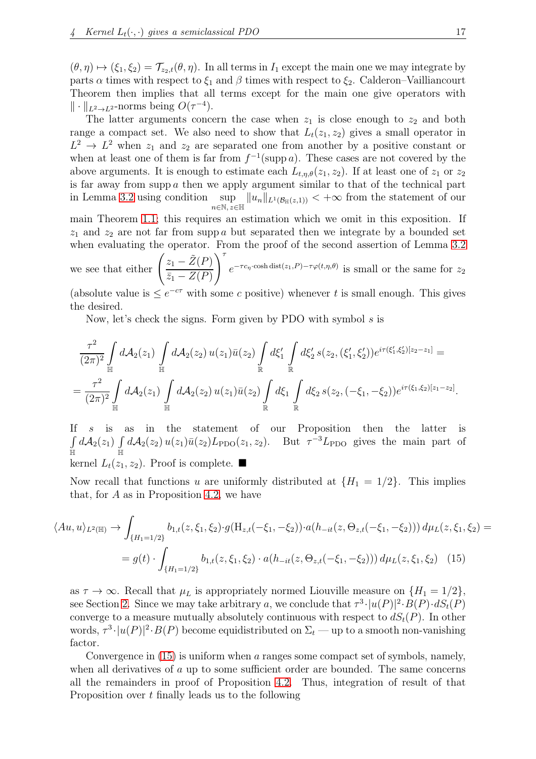$(\theta, \eta) \mapsto (\xi_1, \xi_2) = \mathcal{T}_{z_2,t}(\theta, \eta)$ . In all terms in  $I_1$  except the main one we may integrate by parts  $\alpha$  times with respect to  $\xi_1$  and  $\beta$  times with respect to  $\xi_2$ . Calderon–Vailliancourt Theorem then implies that all terms except for the main one give operators with  $\|\cdot\|_{L^2\to L^2}$ -norms being  $O(\tau^{-4})$ .

The latter arguments concern the case when  $z_1$  is close enough to  $z_2$  and both range a compact set. We also need to show that  $L_t(z_1, z_2)$  gives a small operator in  $L^2 \to L^2$  when  $z_1$  and  $z_2$  are separated one from another by a positive constant or when at least one of them is far from  $f^{-1}(\text{supp }a)$ . These cases are not covered by the above arguments. It is enough to estimate each  $L_{t,\eta,\theta}(z_1, z_2)$ . If at least one of  $z_1$  or  $z_2$ is far away from supp  $a$  then we apply argument similar to that of the technical part in Lemma [3.2](#page-8-0) using condition sup  $\sup_{n \in \mathbb{N}, z \in \mathbb{H}} \|u_n\|_{L^1(\mathcal{B}_{\mathbb{H}}(z,1))} < +\infty$  from the statement of our

main Theorem [1.1;](#page-2-0) this requires an estimation which we omit in this exposition. If  $z_1$  and  $z_2$  are not far from supp a but separated then we integrate by a bounded set when evaluating the operator. From the proof of the second assertion of Lemma [3.2](#page-8-0)

we see that either  $\left(\frac{z_1 - \tilde{Z}(P)}{z - \tilde{Z}(P)}\right)$  $\bar{z}_1 - Z(P)$  $\sum$ <sup>7</sup>  $e^{-\tau c_{\eta} \cdot \cosh \det(z_1, P) - \tau \varphi(t, \eta, \theta)}$  is small or the same for  $z_2$ 

(absolute value is  $\leq e^{-c\tau}$  with some c positive) whenever t is small enough. This gives the desired.

Now, let's check the signs. Form given by PDO with symbol  $s$  is

$$
\frac{\tau^2}{(2\pi)^2} \int_{\mathbb{H}} d\mathcal{A}_2(z_1) \int_{\mathbb{H}} d\mathcal{A}_2(z_2) u(z_1) \bar{u}(z_2) \int_{\mathbb{R}} d\xi'_1 \int_{\mathbb{R}} d\xi'_2 s(z_2, (\xi'_1, \xi'_2)) e^{i\tau(\xi'_1, \xi'_2)[z_2 - z_1]} =
$$
\n
$$
= \frac{\tau^2}{(2\pi)^2} \int_{\mathbb{H}} d\mathcal{A}_2(z_1) \int_{\mathbb{H}} d\mathcal{A}_2(z_2) u(z_1) \bar{u}(z_2) \int_{\mathbb{R}} d\xi_1 \int_{\mathbb{R}} d\xi_2 s(z_2, (-\xi_1, -\xi_2)) e^{i\tau(\xi_1, \xi_2)[z_1 - z_2]}
$$

If s is as in the statement of our Proposition then the latter is R  $\int\limits_{\mathbb H} d\mathcal{A}_2(z_1) \int\limits_{\mathbb H}$  $\int dA_2(z_2) u(z_1) \bar{u}(z_2) L_{\text{PDO}}(z_1, z_2)$ . But  $\tau^{-3} L_{\text{PDO}}$  gives the main part of kernel  $L_t(z_1, z_2)$ . Proof is complete.

Now recall that functions u are uniformly distributed at  $\{H_1 = 1/2\}$ . This implies that, for  $A$  as in Proposition [4.2,](#page-13-0) we have

$$
\langle Au, u \rangle_{L^2(\mathbb{H})} \to \int_{\{H_1 = 1/2\}} b_{1,t}(z, \xi_1, \xi_2) \cdot g(H_{z,t}(-\xi_1, -\xi_2)) \cdot a(h_{-it}(z, \Theta_{z,t}(-\xi_1, -\xi_2))) d\mu_L(z, \xi_1, \xi_2) =
$$
  
=  $g(t) \cdot \int_{\{H_1 = 1/2\}} b_{1,t}(z, \xi_1, \xi_2) \cdot a(h_{-it}(z, \Theta_{z,t}(-\xi_1, -\xi_2))) d\mu_L(z, \xi_1, \xi_2)$  (15)

as  $\tau \to \infty$ . Recall that  $\mu_L$  is appropriately normed Liouville measure on  $\{H_1 = 1/2\}$ , see Section [2.](#page-4-0) Since we may take arbitrary a, we conclude that  $\tau^3 \cdot |u(P)|^2 \cdot B(P) \cdot dS_t(P)$ converge to a measure mutually absolutely continuous with respect to  $dS_t(P)$ . In other words,  $\tau^3 \cdot |u(P)|^2 \cdot B(P)$  become equidistributed on  $\Sigma_t$  — up to a smooth non-vanishing factor.

Convergence in  $(15)$  is uniform when a ranges some compact set of symbols, namely, when all derivatives of a up to some sufficient order are bounded. The same concerns all the remainders in proof of Proposition [4.2.](#page-13-0) Thus, integration of result of that Proposition over t finally leads us to the following

<span id="page-16-0"></span>.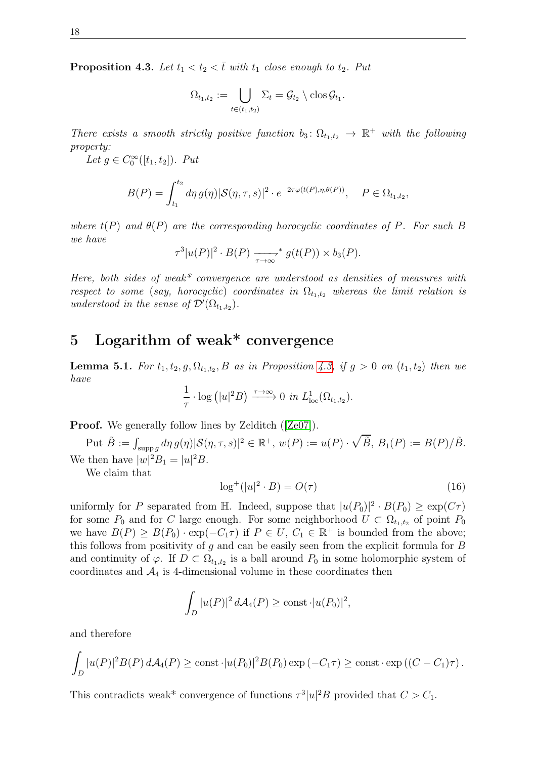<span id="page-17-1"></span>**Proposition 4.3.** Let  $t_1 < t_2 < \overline{t}$  with  $t_1$  close enough to  $t_2$ . Put

$$
\Omega_{t_1,t_2} := \bigcup_{t \in (t_1,t_2)} \Sigma_t = \mathcal{G}_{t_2} \setminus \text{clos}\,\mathcal{G}_{t_1}.
$$

There exists a smooth strictly positive function  $b_3: \Omega_{t_1,t_2} \to \mathbb{R}^+$  with the following property:

Let  $g \in C_0^{\infty}([t_1, t_2])$ . Put

$$
B(P) = \int_{t_1}^{t_2} d\eta \, g(\eta) |\mathcal{S}(\eta, \tau, s)|^2 \cdot e^{-2\tau \varphi(t(P), \eta, \theta(P))}, \quad P \in \Omega_{t_1, t_2},
$$

where  $t(P)$  and  $\theta(P)$  are the corresponding horocyclic coordinates of P. For such B we have

$$
\tau^3|u(P)|^2\cdot B(P)\xrightarrow[\tau\to\infty]{\tau\to\infty}g(t(P))\times b_3(P).
$$

Here, both sides of weak\* convergence are understood as densities of measures with respect to some (say, horocyclic) coordinates in  $\Omega_{t_1,t_2}$  whereas the limit relation is understood in the sense of  $\mathcal{D}'(\Omega_{t_1,t_2})$ .

### <span id="page-17-0"></span>5 Logarithm of weak\* convergence

<span id="page-17-3"></span>**Lemma 5.1.** For  $t_1, t_2, g, \Omega_{t_1,t_2}, B$  as in Proposition [4.3,](#page-17-1) if  $g > 0$  on  $(t_1, t_2)$  then we have

$$
\frac{1}{\tau} \cdot \log (|u|^2 B) \xrightarrow{\tau \to \infty} 0 \text{ in } L^1_{\text{loc}}(\Omega_{t_1,t_2}).
$$

Proof. We generally follow lines by Zelditch ( $[Ze07]$ ).

Put  $\tilde{B} := \int_{\text{supp }g} d\eta g(\eta) |\mathcal{S}(\eta, \tau, s)|^2 \in \mathbb{R}^+, w(P) := u(P) \cdot \sqrt{\tilde{B}}, B_1(P) := B(P)/\tilde{B}.$ We then have  $|w|^2B_1 = |u|^2B$ .

We claim that

<span id="page-17-2"></span>
$$
\log^+(|u|^2 \cdot B) = O(\tau) \tag{16}
$$

uniformly for P separated from H. Indeed, suppose that  $|u(P_0)|^2 \cdot B(P_0) \geq \exp(C\tau)$ for some  $P_0$  and for C large enough. For some neighborhood  $U \subset \Omega_{t_1,t_2}$  of point  $P_0$ we have  $B(P) \geq B(P_0) \cdot \exp(-C_1 \tau)$  if  $P \in U$ ,  $C_1 \in \mathbb{R}^+$  is bounded from the above; this follows from positivity of  $g$  and can be easily seen from the explicit formula for  $B$ and continuity of  $\varphi$ . If  $D \subset \Omega_{t_1,t_2}$  is a ball around  $P_0$  in some holomorphic system of coordinates and  $\mathcal{A}_4$  is 4-dimensional volume in these coordinates then

$$
\int_D |u(P)|^2 d\mathcal{A}_4(P) \ge \text{const } \cdot |u(P_0)|^2,
$$

and therefore

$$
\int_D |u(P)|^2 B(P) d\mathcal{A}_4(P) \ge \text{const} \cdot |u(P_0)|^2 B(P_0) \exp(-C_1 \tau) \ge \text{const} \cdot \exp\left((C - C_1)\tau\right).
$$

This contradicts weak\* convergence of functions  $\tau^3|u|^2B$  provided that  $C > C_1$ .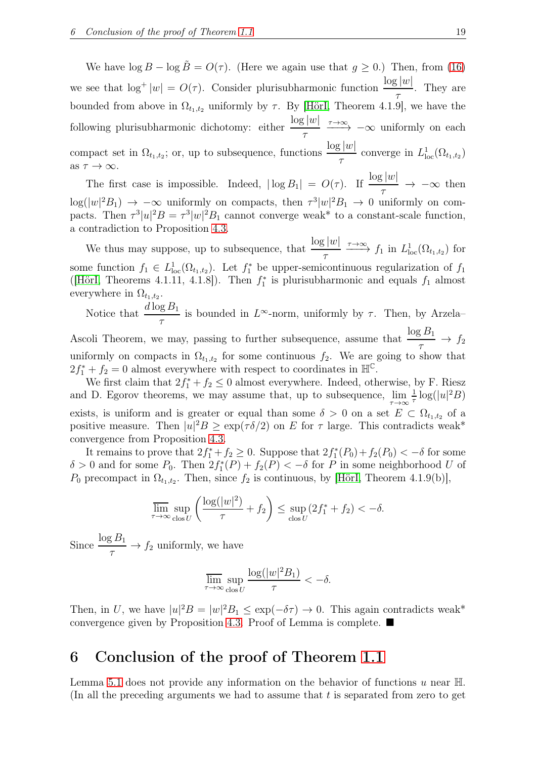We have  $\log B - \log \tilde{B} = O(\tau)$ . (Here we again use that  $g \ge 0$ .) Then, from [\(16\)](#page-17-2) we see that  $\log^+|w| = O(\tau)$ . Consider plurisubharmonic function  $\frac{\log |w|}{\tau}$ . They are bounded from above in  $\Omega_{t_1,t_2}$  uniformly by  $\tau$ . By [\[HörI,](#page-21-10) Theorem 4.1.9], we have the following plurisubharmonic dichotomy: either  $\frac{\log |w|}{\log |w|}$  $\frac{\tau}{\tau} \xrightarrow{\tau \to \infty} -\infty$  uniformly on each compact set in  $\Omega_{t_1,t_2}$ ; or, up to subsequence, functions  $\frac{\log |w|}{\epsilon}$ τ converge in  $L^1_{\text{loc}}(\Omega_{t_1,t_2})$ as  $\tau \to \infty$ .

The first case is impossible. Indeed,  $|\log B_1| = O(\tau)$ . If  $\frac{\log |w|}{\tau} \to -\infty$  then  $\log(|w|^2B_1) \rightarrow -\infty$  uniformly on compacts, then  $\tau^3|w|^2B_1 \rightarrow 0$  uniformly on compacts. Then  $\tau^3|u|^2B = \tau^3|w|^2B_1$  cannot converge weak\* to a constant-scale function, a contradiction to Proposition [4.3.](#page-17-1)

We thus may suppose, up to subsequence, that  $\frac{\log |w|}{\log |w|}$  $\frac{\tau}{\tau} \longrightarrow f_1$  in  $L^1_{loc}(\Omega_{t_1,t_2})$  for some function  $f_1 \in L^1_{loc}(\Omega_{t_1,t_2})$ . Let  $f_1^*$  be upper-semicontinuous regularization of  $f_1$ ([\[HörI,](#page-21-10) Theorems 4.1.11, 4.1.8]). Then  $f_1^*$  is plurisubharmonic and equals  $f_1$  almost everywhere in  $\Omega_{t_1,t_2}$ .

Notice that  $\frac{d \log B_1}{d \log B_2}$ τ is bounded in  $L^{\infty}$ -norm, uniformly by  $\tau$ . Then, by Arzela-

Ascoli Theorem, we may, passing to further subsequence, assume that  $\frac{\log B_1}{\log B_2}$  $\frac{\sigma}{\tau} \rightarrow f_2$ uniformly on compacts in  $\Omega_{t_1,t_2}$  for some continuous  $f_2$ . We are going to show that  $2f_1^* + f_2 = 0$  almost everywhere with respect to coordinates in  $\mathbb{H}^{\mathbb{C}}$ .

We first claim that  $2f_1^* + f_2 \leq 0$  almost everywhere. Indeed, otherwise, by F. Riesz and D. Egorov theorems, we may assume that, up to subsequence,  $\lim_{\tau \to \infty} \frac{1}{\tau}$  $\frac{1}{\tau} \log(|u|^2 B)$ exists, is uniform and is greater or equal than some  $\delta > 0$  on a set  $E \subset \Omega_{t_1,t_2}$  of a positive measure. Then  $|u|^2B \ge \exp(\tau \delta/2)$  on E for  $\tau$  large. This contradicts weak\* convergence from Proposition [4.3.](#page-17-1)

It remains to prove that  $2f_1^* + f_2 \geq 0$ . Suppose that  $2f_1^*(P_0) + f_2(P_0) < -\delta$  for some  $\delta > 0$  and for some  $P_0$ . Then  $2f_1^*(P) + f_2(P) < -\delta$  for P in some neighborhood U of  $P_0$  precompact in  $\Omega_{t_1,t_2}$ . Then, since  $f_2$  is continuous, by [\[HörI,](#page-21-10) Theorem 4.1.9(b)],

$$
\overline{\lim}_{\tau \to \infty} \sup_{\text{clos } U} \left( \frac{\log(|w|^2)}{\tau} + f_2 \right) \le \sup_{\text{clos } U} (2f_1^* + f_2) < -\delta.
$$

Since  $\frac{\log B_1}{\log B_2}$  $\frac{1}{\tau} \to f_2$  uniformly, we have

$$
\overline{\lim}_{\tau \to \infty} \sup_{\text{clos } U} \frac{\log(|w|^2 B_1)}{\tau} < -\delta.
$$

Then, in U, we have  $|u|^2B = |w|^2B_1 \leq \exp(-\delta \tau) \to 0$ . This again contradicts weak\* convergence given by Proposition [4.3.](#page-17-1) Proof of Lemma is complete.

#### <span id="page-18-0"></span>6 Conclusion of the proof of Theorem [1.1](#page-2-0)

Lemma [5.1](#page-17-3) does not provide any information on the behavior of functions u near  $\mathbb{H}$ . (In all the preceding arguments we had to assume that  $t$  is separated from zero to get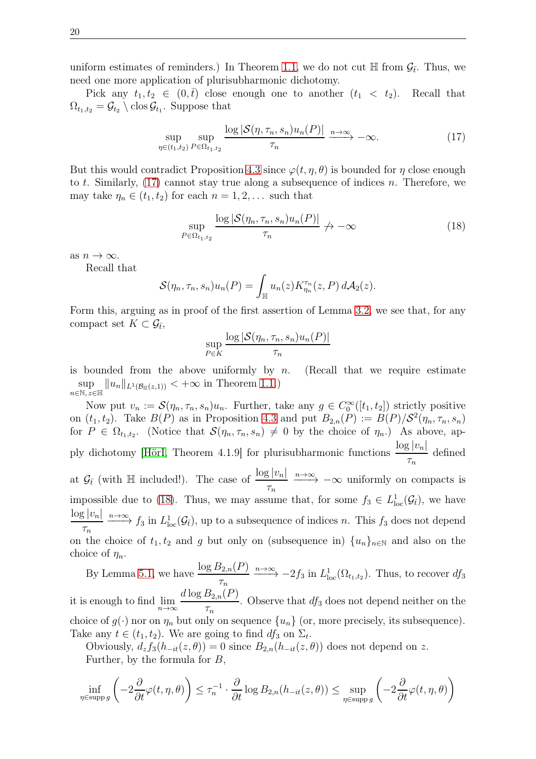uniform estimates of reminders.) In Theorem [1.1,](#page-2-0) we do not cut  $\mathbb H$  from  $\mathcal G_{\bar{t}}$ . Thus, we need one more application of plurisubharmonic dichotomy.

Pick any  $t_1, t_2 \in (0, \bar{t})$  close enough one to another  $(t_1 < t_2)$ . Recall that  $\Omega_{t_1,t_2} = \mathcal{G}_{t_2} \setminus \text{clos}\,\mathcal{G}_{t_1}$ . Suppose that

<span id="page-19-0"></span>
$$
\sup_{\eta \in (t_1, t_2)} \sup_{P \in \Omega_{t_1, t_2}} \frac{\log |\mathcal{S}(\eta, \tau_n, s_n) u_n(P)|}{\tau_n} \xrightarrow{n \to \infty} -\infty. \tag{17}
$$

But this would contradict Proposition [4.3](#page-17-1) since  $\varphi(t, \eta, \theta)$  is bounded for  $\eta$  close enough to t. Similarly,  $(17)$  cannot stay true along a subsequence of indices n. Therefore, we may take  $\eta_n \in (t_1, t_2)$  for each  $n = 1, 2, \dots$  such that

<span id="page-19-1"></span>
$$
\sup_{P \in \Omega_{t_1, t_2}} \frac{\log |\mathcal{S}(\eta_n, \tau_n, s_n) u_n(P)|}{\tau_n} \to -\infty \tag{18}
$$

as  $n \to \infty$ .

Recall that

$$
\mathcal{S}(\eta_n, \tau_n, s_n)u_n(P) = \int_{\mathbb{H}} u_n(z)K_{\eta_n}^{\tau_n}(z, P) d\mathcal{A}_2(z).
$$

Form this, arguing as in proof of the first assertion of Lemma [3.2,](#page-8-0) we see that, for any compact set  $K \subset \mathcal{G}_{\bar{t}},$ 

$$
\sup_{P \in K} \frac{\log |\mathcal{S}(\eta_n, \tau_n, s_n) u_n(P)|}{\tau_n}
$$

is bounded from the above uniformly by n. (Recall that we require estimate sup  $\sup_{n\in\mathbb{N}, z\in\mathbb{H}} ||u_n||_{L^1(\mathcal{B}_{\mathbb{H}}(z,1))} < +\infty$  in Theorem [1.1.](#page-2-0))

Now put  $v_n := \mathcal{S}(\eta_n, \tau_n, s_n)u_n$ . Further, take any  $g \in C_0^{\infty}([t_1, t_2])$  strictly positive on  $(t_1, t_2)$ . Take  $B(P)$  as in Proposition [4.3](#page-17-1) and put  $B_{2,n}(P) := B(P)/S^2(\eta_n, \tau_n, s_n)$ for  $P \in \Omega_{t_1,t_2}$ . (Notice that  $\mathcal{S}(\eta_n, \tau_n, s_n) \neq 0$  by the choice of  $\eta_n$ .) As above, ap-ply dichotomy [\[HörI,](#page-21-10) Theorem 4.1.9] for plurisubharmonic functions  $\frac{\log |v_n|}{\log |v_n|}$  $\tau_n$ defined at  $\mathcal{G}_{\bar{t}}$  (with  $\mathbb{H}$  included!). The case of  $\frac{\log |v_n|}{\tau_n} \xrightarrow{n \to \infty} -\infty$  uniformly on compacts is impossible due to [\(18\)](#page-19-1). Thus, we may assume that, for some  $f_3 \in L^1_{loc}(\mathcal{G}_{\bar{t}})$ , we have  $\log |v_n|$  $\frac{\partial f}{\partial n} \xrightarrow{n \to \infty} f_3$  in  $L^1_{loc}(\mathcal{G}_{\bar{t}})$ , up to a subsequence of indices *n*. This  $f_3$  does not depend on the choice of  $t_1, t_2$  and g but only on (subsequence in)  $\{u_n\}_{n\in\mathbb{N}}$  and also on the choice of  $\eta_n$ .

By Lemma [5.1,](#page-17-3) we have  $\frac{\log B_{2,n}(P)}{P}$  $\frac{\delta_{2,n}(P)}{\tau_n} \xrightarrow{n \to \infty} -2f_3$  in  $L^1_{\text{loc}}(\Omega_{t_1,t_2})$ . Thus, to recover  $df_3$ it is enough to find  $\lim_{n\to\infty}$  $d \log B_{2,n}(P)$  $\tau_n$ . Observe that  $df_3$  does not depend neither on the choice of  $g(\cdot)$  nor on  $\eta_n$  but only on sequence  $\{u_n\}$  (or, more precisely, its subsequence). Take any  $t \in (t_1, t_2)$ . We are going to find  $df_3$  on  $\Sigma_t$ .

Obviously,  $d_z f_3(h_{-it}(z, \theta)) = 0$  since  $B_{2,n}(h_{-it}(z, \theta))$  does not depend on z. Further, by the formula for B,

$$
\inf_{\eta \in \text{supp } g} \left( -2 \frac{\partial}{\partial t} \varphi(t, \eta, \theta) \right) \le \tau_n^{-1} \cdot \frac{\partial}{\partial t} \log B_{2,n}(h_{-it}(z, \theta)) \le \sup_{\eta \in \text{supp } g} \left( -2 \frac{\partial}{\partial t} \varphi(t, \eta, \theta) \right)
$$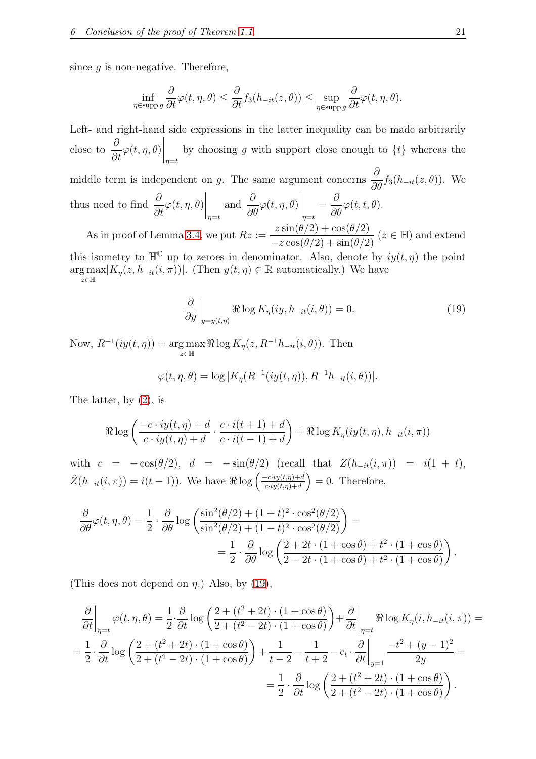since  $q$  is non-negative. Therefore,

$$
\inf_{\eta \in \text{supp } g} \frac{\partial}{\partial t} \varphi(t, \eta, \theta) \le \frac{\partial}{\partial t} f_3(h_{-it}(z, \theta)) \le \sup_{\eta \in \text{supp } g} \frac{\partial}{\partial t} \varphi(t, \eta, \theta).
$$

Left- and right-hand side expressions in the latter inequality can be made arbitrarily close to  $\frac{\partial}{\partial}$  $\frac{\partial}{\partial t}\varphi(t,\eta,\theta)$ by choosing g with support close enough to  $\{t\}$  whereas the middle term is independent on g. The same argument concerns  $\frac{\partial}{\partial x}$  $\frac{\partial}{\partial \theta} f_3(h_{-it}(z, \theta))$ . We thus need to find  $\frac{\partial}{\partial x}$  $\frac{\partial}{\partial t}\varphi(t,\eta,\theta)$  $\Big|_{\eta=t}$ and  $\frac{\partial}{\partial x}$  $\frac{\partial}{\partial \theta} \varphi(t, \eta, \theta)$  $\Big|_{\eta=t}$ = ∂  $\frac{\partial}{\partial \theta} \varphi(t,t,\theta).$ As in proof of Lemma [3.4,](#page-10-0) we put  $Rz :=$  $\frac{z \sin(\theta/2) + \cos(\theta/2)}{-z \cos(\theta/2) + \sin(\theta/2)}$  ( $z \in \mathbb{H}$ ) and extend

this isometry to  $\mathbb{H}^{\mathbb{C}}$  up to zeroes in denominator. Also, denote by  $iy(t, \eta)$  the point  $\arg \max_{\tau \in \mathbb{R}^n} |K_{\eta}(z, h_{-it}(i, \pi))|$ . (Then  $y(t, \eta) \in \mathbb{R}$  automatically.) We have  $z\in\mathbb{H}$ 

<span id="page-20-0"></span>
$$
\frac{\partial}{\partial y}\Big|_{y=y(t,\eta)} \Re \log K_{\eta}(iy, h_{-it}(i, \theta)) = 0.
$$
\n(19)

Now,  $R^{-1}(iy(t, \eta)) = \arg \max$  $\operatorname{sg\,max}_{z\in\mathbb{H}} \Re \log K_{\eta}(z, R^{-1}h_{-it}(i, \theta)).$  Then

$$
\varphi(t,\eta,\theta) = \log |K_{\eta}(R^{-1}(iy(t,\eta)), R^{-1}h_{-it}(i,\theta))|.
$$

The latter, by [\(2\)](#page-4-1), is

$$
\Re \log \left( \frac{-c \cdot iy(t, \eta) + d}{c \cdot iy(t, \eta) + d} \cdot \frac{c \cdot i(t+1) + d}{c \cdot i(t-1) + d} \right) + \Re \log K_{\eta}(iy(t, \eta), h_{-it}(i, \pi))
$$

with  $c = -\cos(\theta/2)$ ,  $d = -\sin(\theta/2)$  (recall that  $Z(h_{-it}(i, \pi)) = i(1 + t)$ ,  $\tilde{Z}(h_{-it}(i,\pi)) = i(t-1)$ ). We have  $\Re \log \left( \frac{-c \cdot iy(t,\eta) + d}{c \cdot iy(t,\eta) + d} \right)$  $\left(\frac{c \cdot iy(t,\eta) + d}{c \cdot iy(t,\eta) + d}\right) = 0$ . Therefore,

$$
\frac{\partial}{\partial \theta} \varphi(t, \eta, \theta) = \frac{1}{2} \cdot \frac{\partial}{\partial \theta} \log \left( \frac{\sin^2(\theta/2) + (1+t)^2 \cdot \cos^2(\theta/2)}{\sin^2(\theta/2) + (1-t)^2 \cdot \cos^2(\theta/2)} \right) =
$$

$$
= \frac{1}{2} \cdot \frac{\partial}{\partial \theta} \log \left( \frac{2+2t \cdot (1+\cos\theta) + t^2 \cdot (1+\cos\theta)}{2-2t \cdot (1+\cos\theta) + t^2 \cdot (1+\cos\theta)} \right).
$$

(This does not depend on  $\eta$ .) Also, by [\(19\)](#page-20-0),

$$
\frac{\partial}{\partial t}\bigg|_{\eta=t} \varphi(t,\eta,\theta) = \frac{1}{2} \cdot \frac{\partial}{\partial t} \log \left( \frac{2 + (t^2 + 2t) \cdot (1 + \cos \theta)}{2 + (t^2 - 2t) \cdot (1 + \cos \theta)} \right) + \frac{\partial}{\partial t}\bigg|_{\eta=t} \Re \log K_{\eta}(i, h_{-it}(i, \pi)) =
$$
\n
$$
= \frac{1}{2} \cdot \frac{\partial}{\partial t} \log \left( \frac{2 + (t^2 + 2t) \cdot (1 + \cos \theta)}{2 + (t^2 - 2t) \cdot (1 + \cos \theta)} \right) + \frac{1}{t-2} - \frac{1}{t+2} - c_t \cdot \frac{\partial}{\partial t}\bigg|_{y=1} \frac{-t^2 + (y-1)^2}{2y} =
$$
\n
$$
= \frac{1}{2} \cdot \frac{\partial}{\partial t} \log \left( \frac{2 + (t^2 + 2t) \cdot (1 + \cos \theta)}{2 + (t^2 - 2t) \cdot (1 + \cos \theta)} \right).
$$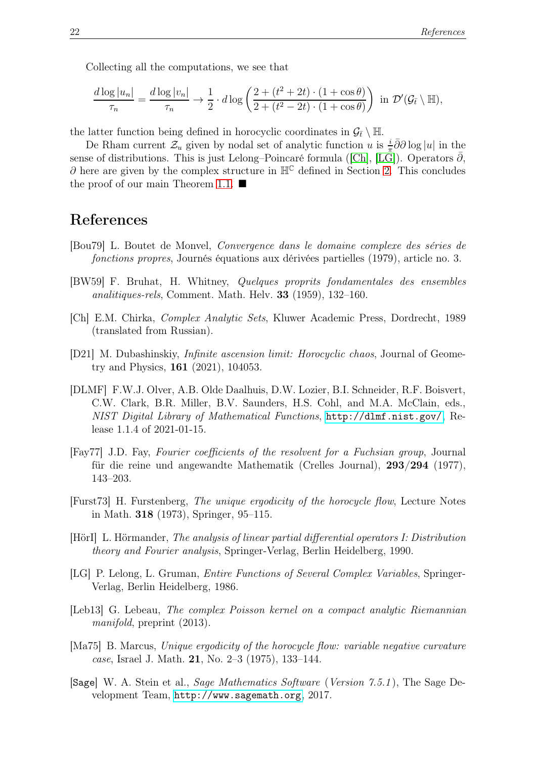Collecting all the computations, we see that

$$
\frac{d \log |u_n|}{\tau_n} = \frac{d \log |v_n|}{\tau_n} \to \frac{1}{2} \cdot d \log \left( \frac{2 + (t^2 + 2t) \cdot (1 + \cos \theta)}{2 + (t^2 - 2t) \cdot (1 + \cos \theta)} \right) \text{ in } \mathcal{D}'(\mathcal{G}_{\bar{t}} \setminus \mathbb{H}),
$$

the latter function being defined in horocyclic coordinates in  $\mathcal{G}_{\bar{t}} \setminus \mathbb{H}$ .

De Rham current  $\mathcal{Z}_u$  given by nodal set of analytic function u is  $\frac{i}{\pi}\partial\overline{\partial}\log|u|$  in the sense of distributions. This is just Lelong–Poincaré formula ([\[Ch\]](#page-21-2), [\[LG\]](#page-21-3)). Operators  $\bar{\partial}$ ,  $\partial$  here are given by the complex structure in  $\mathbb{H}^{\mathbb{C}}$  defined in Section [2.](#page-4-0) This concludes the proof of our main Theorem [1.1.](#page-2-0)  $\blacksquare$ 

#### <span id="page-21-0"></span>References

- <span id="page-21-7"></span>[Bou79] L. Boutet de Monvel, Convergence dans le domaine complexe des séries de fonctions propres, Journés équations aux dérivées partielles (1979), article no. 3.
- <span id="page-21-1"></span>[BW59] F. Bruhat, H. Whitney, Quelques proprits fondamentales des ensembles analitiques-rels, Comment. Math. Helv. 33 (1959), 132–160.
- <span id="page-21-2"></span>[Ch] E.M. Chirka, Complex Analytic Sets, Kluwer Academic Press, Dordrecht, 1989 (translated from Russian).
- <span id="page-21-4"></span>[D21] M. Dubashinskiy, Infinite ascension limit: Horocyclic chaos, Journal of Geometry and Physics, 161 (2021), 104053.
- <span id="page-21-12"></span>[DLMF] F.W.J. Olver, A.B. Olde Daalhuis, D.W. Lozier, B.I. Schneider, R.F. Boisvert, C.W. Clark, B.R. Miller, B.V. Saunders, H.S. Cohl, and M.A. McClain, eds., NIST Digital Library of Mathematical Functions, <http://dlmf.nist.gov/>, Release 1.1.4 of 2021-01-15.
- <span id="page-21-9"></span>[Fay77] J.D. Fay, Fourier coefficients of the resolvent for a Fuchsian group, Journal für die reine und angewandte Mathematik (Crelles Journal), 293/294 (1977), 143–203.
- <span id="page-21-5"></span>[Furst73] H. Furstenberg, The unique ergodicity of the horocycle flow, Lecture Notes in Math. 318 (1973), Springer, 95–115.
- <span id="page-21-10"></span>[HörI] L. Hörmander, The analysis of linear partial differential operators I: Distribution theory and Fourier analysis, Springer-Verlag, Berlin Heidelberg, 1990.
- <span id="page-21-3"></span>[LG] P. Lelong, L. Gruman, Entire Functions of Several Complex Variables, Springer-Verlag, Berlin Heidelberg, 1986.
- <span id="page-21-8"></span>[Leb13] G. Lebeau, The complex Poisson kernel on a compact analytic Riemannian manifold, preprint (2013).
- <span id="page-21-6"></span>[Ma75] B. Marcus, Unique ergodicity of the horocycle flow: variable negative curvature case, Israel J. Math. 21, No. 2–3 (1975), 133–144.
- <span id="page-21-11"></span>[Sage] W. A. Stein et al., Sage Mathematics Software (Version 7.5.1 ), The Sage Development Team, <http://www.sagemath.org>, 2017.